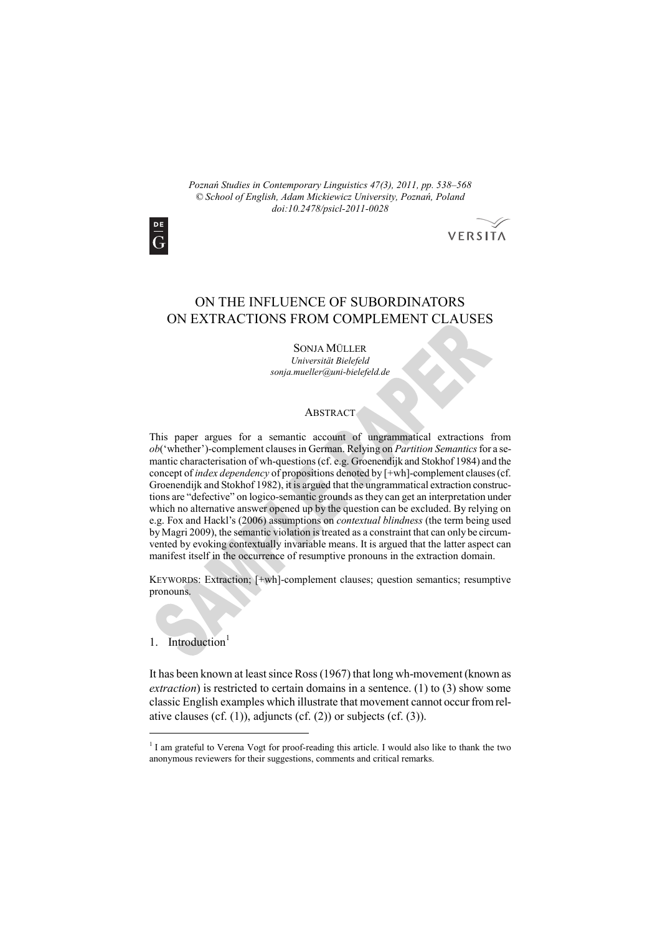*Poznań Studies in Contemporary Linguistics 47(3), 2011, pp. 538–568 © School of English, Adam Mickiewicz University, Poznań, Poland doi:10.2478/psicl-2011-0028* 



# VERSITA

# ON THE INFLUENCE OF SUBORDINATORS ON EXTRACTIONS FROM COMPLEMENT CLAUSES

SONJA MÜLLER *Universität Bielefeld sonja.mueller@uni-bielefeld.de* 

#### **ABSTRACT**

This paper argues for a semantic account of ungrammatical extractions from *ob*('whether')-complement clauses in German. Relying on *Partition Semantics* for a semantic characterisation of wh-questions (cf. e.g. Groenendijk and Stokhof 1984) and the concept of *index dependency* of propositions denoted by [+wh]-complement clauses (cf. Groenendijk and Stokhof 1982), it is argued that the ungrammatical extraction constructions are "defective" on logico-semantic grounds as they can get an interpretation under which no alternative answer opened up by the question can be excluded. By relying on e.g. Fox and Hackl's (2006) assumptions on *contextual blindness* (the term being used by Magri 2009), the semantic violation is treated as a constraint that can only be circumvented by evoking contextually invariable means. It is argued that the latter aspect can manifest itself in the occurrence of resumptive pronouns in the extraction domain.

KEYWORDS: Extraction; [+wh]-complement clauses; question semantics; resumptive pronouns.

1. Introduction<sup>1</sup>

 $\overline{a}$ 

It has been known at least since Ross (1967) that long wh-movement (known as *extraction*) is restricted to certain domains in a sentence. (1) to (3) show some classic English examples which illustrate that movement cannot occur from relative clauses (cf.  $(1)$ ), adjuncts (cf.  $(2)$ ) or subjects (cf.  $(3)$ ).

<sup>&</sup>lt;sup>1</sup> I am grateful to Verena Vogt for proof-reading this article. I would also like to thank the two anonymous reviewers for their suggestions, comments and critical remarks.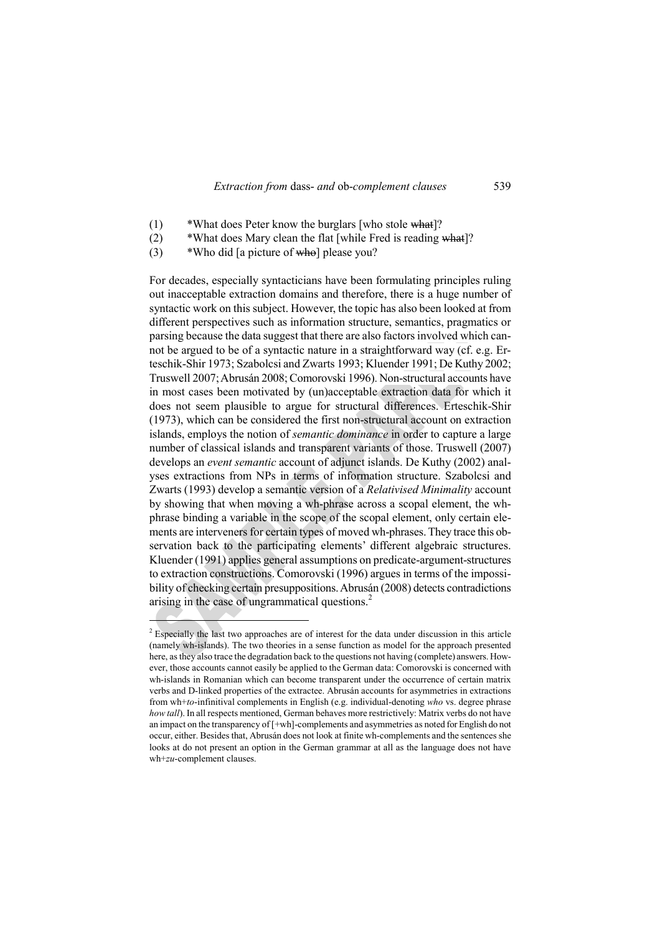- (1)  $***What** does Peter know the burglars [who stole **what**!]?$
- (2) \*What does Mary clean the flat [while Fred is reading what]?
- (3) \*Who did [a picture of who] please you?

 $\overline{a}$ 

For decades, especially syntacticians have been formulating principles ruling out inacceptable extraction domains and therefore, there is a huge number of syntactic work on this subject. However, the topic has also been looked at from different perspectives such as information structure, semantics, pragmatics or parsing because the data suggest that there are also factors involved which cannot be argued to be of a syntactic nature in a straightforward way (cf. e.g. Erteschik-Shir 1973; Szabolcsi and Zwarts 1993; Kluender 1991; De Kuthy 2002; Truswell 2007; Abrusán 2008; Comorovski 1996). Non-structural accounts have in most cases been motivated by (un)acceptable extraction data for which it does not seem plausible to argue for structural differences. Erteschik-Shir (1973), which can be considered the first non-structural account on extraction islands, employs the notion of *semantic dominance* in order to capture a large number of classical islands and transparent variants of those. Truswell (2007) develops an *event semantic* account of adjunct islands. De Kuthy (2002) analyses extractions from NPs in terms of information structure. Szabolcsi and Zwarts (1993) develop a semantic version of a *Relativised Minimality* account by showing that when moving a wh-phrase across a scopal element, the whphrase binding a variable in the scope of the scopal element, only certain elements are interveners for certain types of moved wh-phrases. They trace this observation back to the participating elements' different algebraic structures. Kluender (1991) applies general assumptions on predicate-argument-structures to extraction constructions. Comorovski (1996) argues in terms of the impossibility of checking certain presuppositions. Abrusán (2008) detects contradictions arising in the case of ungrammatical questions. $<sup>2</sup>$ </sup>

 $2^{2}$  Especially the last two approaches are of interest for the data under discussion in this article (namely wh-islands). The two theories in a sense function as model for the approach presented here, as they also trace the degradation back to the questions not having (complete) answers. However, those accounts cannot easily be applied to the German data: Comorovski is concerned with wh-islands in Romanian which can become transparent under the occurrence of certain matrix verbs and D-linked properties of the extractee. Abrusán accounts for asymmetries in extractions from wh+*to*-infinitival complements in English (e.g. individual-denoting *who* vs. degree phrase *how tall*). In all respects mentioned, German behaves more restrictively: Matrix verbs do not have an impact on the transparency of [+wh]-complements and asymmetries as noted for English do not occur, either. Besides that, Abrusán does not look at finite wh-complements and the sentences she looks at do not present an option in the German grammar at all as the language does not have wh+*zu*-complement clauses.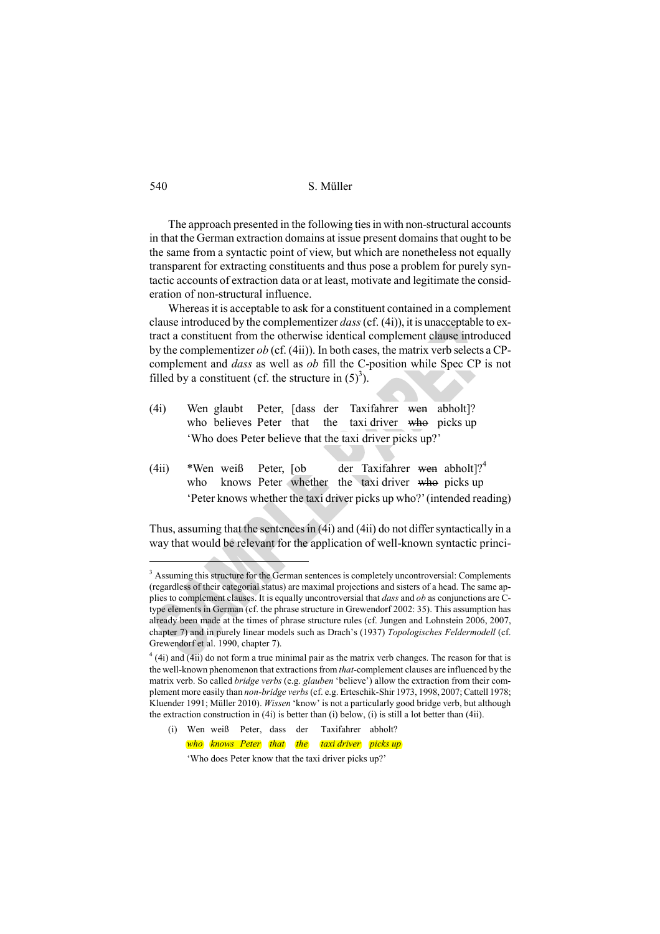The approach presented in the following ties in with non-structural accounts in that the German extraction domains at issue present domains that ought to be the same from a syntactic point of view, but which are nonetheless not equally transparent for extracting constituents and thus pose a problem for purely syntactic accounts of extraction data or at least, motivate and legitimate the consideration of non-structural influence.

Whereas it is acceptable to ask for a constituent contained in a complement clause introduced by the complementizer *dass* (cf. (4i)), it is unacceptable to extract a constituent from the otherwise identical complement clause introduced by the complementizer *ob* (cf. (4ii)). In both cases, the matrix verb selects a CPcomplement and *dass* as well as *ob* fill the C-position while Spec CP is not filled by a constituent (cf. the structure in  $(5)^3$ ).

- (4i) Wen glaubt Peter, [dass der Taxifahrer wen abholt]? who believes Peter that the taxi driver who picks up 'Who does Peter believe that the taxi driver picks up?'
- (4ii) \*Wen weiß Peter, [ob der Taxifahrer wen abholt]?<sup>4</sup> who knows Peter whether the taxi driver who picks up 'Peter knows whether the taxi driver picks up who?' (intended reading)

Thus, assuming that the sentences in (4i) and (4ii) do not differ syntactically in a way that would be relevant for the application of well-known syntactic princi-

'Who does Peter know that the taxi driver picks up?'

<sup>&</sup>lt;sup>3</sup> Assuming this structure for the German sentences is completely uncontroversial: Complements (regardless of their categorial status) are maximal projections and sisters of a head. The same applies to complement clauses. It is equally uncontroversial that *dass* and *ob* as conjunctions are Ctype elements in German (cf. the phrase structure in Grewendorf 2002: 35). This assumption has already been made at the times of phrase structure rules (cf. Jungen and Lohnstein 2006, 2007, chapter 7) and in purely linear models such as Drach's (1937) *Topologisches Feldermodell* (cf. Grewendorf et al. 1990, chapter 7).

 $4(4i)$  and  $(4ii)$  do not form a true minimal pair as the matrix verb changes. The reason for that is the well-known phenomenon that extractions from *that*-complement clauses are influenced by the matrix verb. So called *bridge verbs* (e.g. *glauben* 'believe') allow the extraction from their complement more easily than *non-bridge verbs* (cf. e.g. Erteschik-Shir 1973, 1998, 2007; Cattell 1978; Kluender 1991; Müller 2010). *Wissen* 'know' is not a particularly good bridge verb, but although the extraction construction in  $(4i)$  is better than  $(i)$  below,  $(i)$  is still a lot better than  $(4ii)$ .

 <sup>(</sup>i) Wen weiß Peter, dass der Taxifahrer abholt? *who knows Peter that the taxi driver picks up*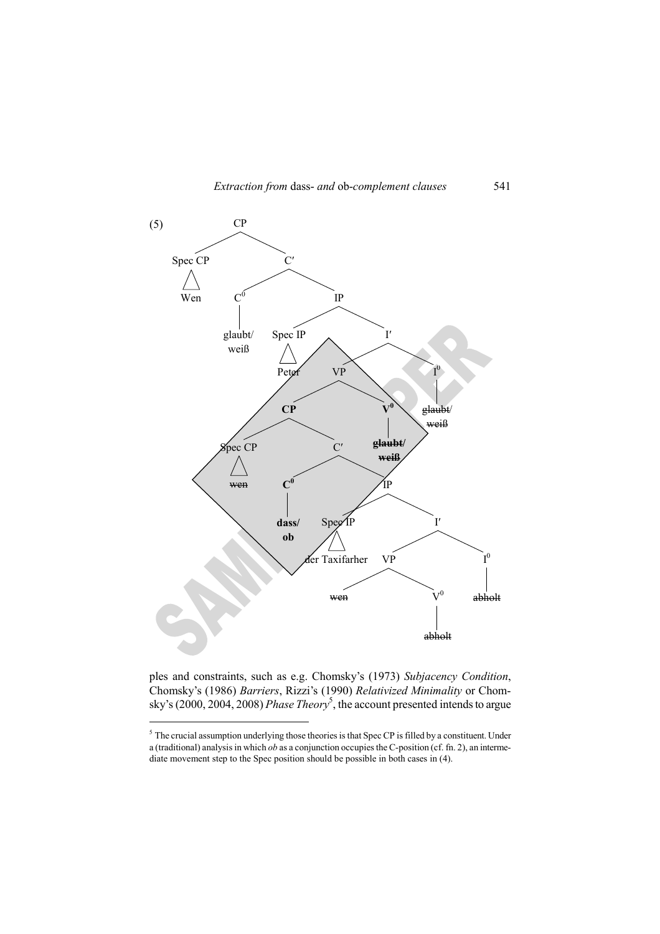



ples and constraints, such as e.g. Chomsky's (1973) *Subjacency Condition*, Chomsky's (1986) *Barriers*, Rizzi's (1990) *Relativized Minimality* or Chomsky's (2000, 2004, 2008) *Phase Theory*<sup>5</sup>, the account presented intends to argue

 $<sup>5</sup>$  The crucial assumption underlying those theories is that Spec CP is filled by a constituent. Under</sup> a (traditional) analysis in which *ob* as a conjunction occupies the C-position (cf. fn. 2), an intermediate movement step to the Spec position should be possible in both cases in (4).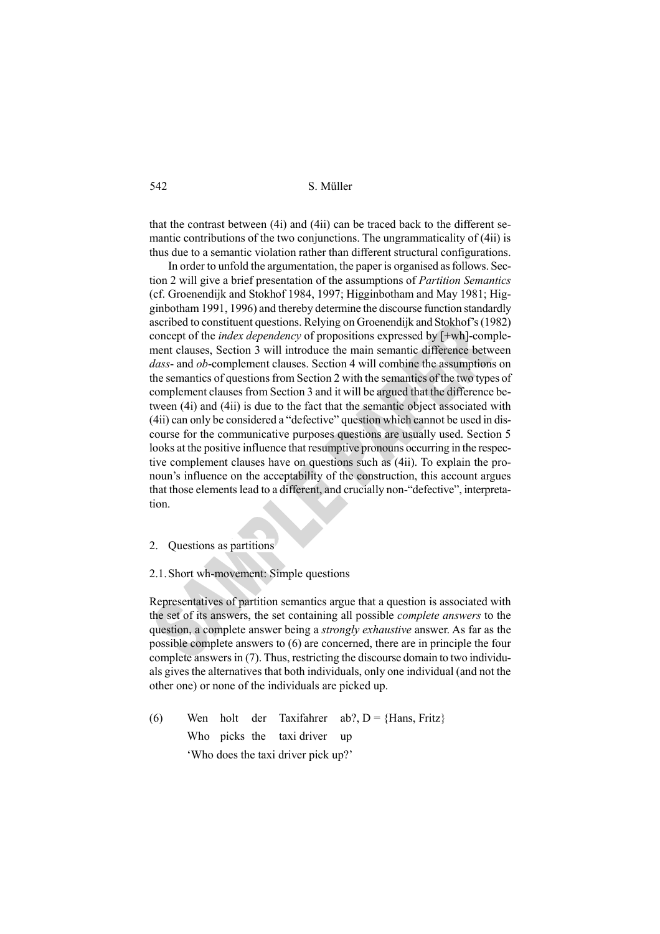that the contrast between (4i) and (4ii) can be traced back to the different semantic contributions of the two conjunctions. The ungrammaticality of (4ii) is thus due to a semantic violation rather than different structural configurations.

In order to unfold the argumentation, the paper is organised as follows. Section 2 will give a brief presentation of the assumptions of *Partition Semantics* (cf. Groenendijk and Stokhof 1984, 1997; Higginbotham and May 1981; Higginbotham 1991, 1996) and thereby determine the discourse function standardly ascribed to constituent questions. Relying on Groenendijk and Stokhof's (1982) concept of the *index dependency* of propositions expressed by [+wh]-complement clauses, Section 3 will introduce the main semantic difference between *dass*- and *ob*-complement clauses. Section 4 will combine the assumptions on the semantics of questions from Section 2 with the semantics of the two types of complement clauses from Section 3 and it will be argued that the difference between (4i) and (4ii) is due to the fact that the semantic object associated with (4ii) can only be considered a "defective" question which cannot be used in discourse for the communicative purposes questions are usually used. Section 5 looks at the positive influence that resumptive pronouns occurring in the respective complement clauses have on questions such as (4ii). To explain the pronoun's influence on the acceptability of the construction, this account argues that those elements lead to a different, and crucially non-"defective", interpretation.

2. Questions as partitions

#### 2.1. Short wh-movement: Simple questions

Representatives of partition semantics argue that a question is associated with the set of its answers, the set containing all possible *complete answers* to the question, a complete answer being a *strongly exhaustive* answer. As far as the possible complete answers to (6) are concerned, there are in principle the four complete answers in (7). Thus, restricting the discourse domain to two individuals gives the alternatives that both individuals, only one individual (and not the other one) or none of the individuals are picked up.

(6) Wen holt der Taxifahrer ab?,  $D = {Hans, Fritz}$ Who picks the taxi driver up 'Who does the taxi driver pick up?'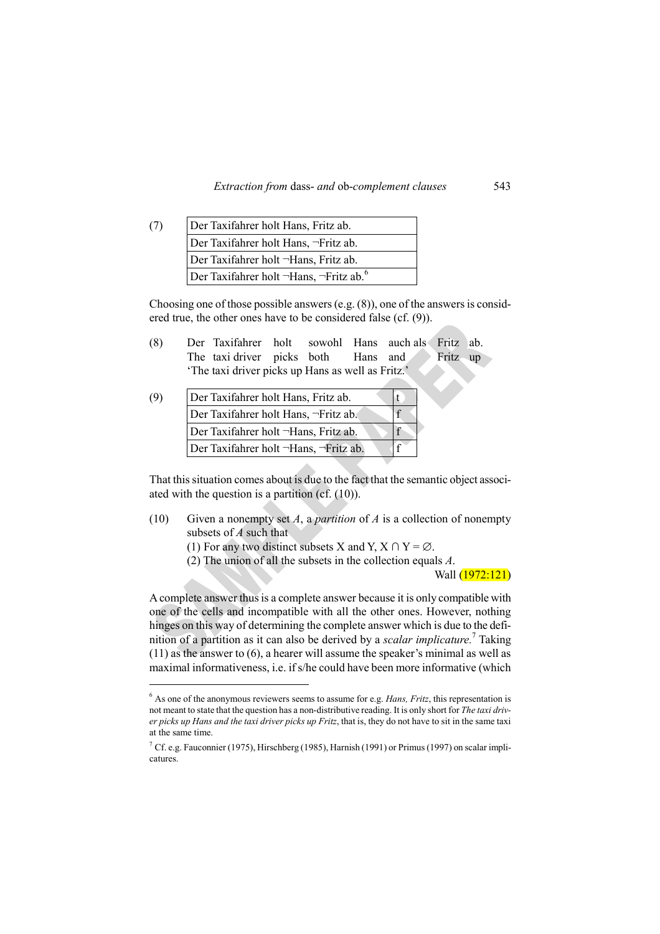| (7) | Der Taxifahrer holt Hans, Fritz ab.                |
|-----|----------------------------------------------------|
|     | Der Taxifahrer holt Hans, ~Fritz ab.               |
|     | Der Taxifahrer holt ¬Hans, Fritz ab.               |
|     | Der Taxifahrer holt ~Hans, ~Fritz ab. <sup>6</sup> |

Choosing one of those possible answers (e.g. (8)), one of the answers is considered true, the other ones have to be considered false (cf. (9)).

| (8) | Der Taxifahrer holt sowohl Hans auch als Fritz ab. |  |  |          |  |
|-----|----------------------------------------------------|--|--|----------|--|
|     | The taxi-driver picks both Hans and                |  |  | Fritz up |  |
|     | 'The taxi driver picks up Hans as well as Fritz.'  |  |  |          |  |

| (9) | Der Taxifahrer holt Hans, Fritz ab.   |  |
|-----|---------------------------------------|--|
|     | Der Taxifahrer holt Hans, ~Fritz ab.  |  |
|     | Der Taxifahrer holt ~Hans, Fritz ab.  |  |
|     | Der Taxifahrer holt ~Hans, ~Fritz ab. |  |

 $\overline{a}$ 

That this situation comes about is due to the fact that the semantic object associated with the question is a partition (cf. (10)).

- (10) Given a nonempty set *A*, a *partition* of *A* is a collection of nonempty subsets of *A* such that
	- (1) For any two distinct subsets X and Y,  $X \cap Y = \emptyset$ .
	- (2) The union of all the subsets in the collection equals *A*.

Wall (1972:121)

A complete answer thus is a complete answer because it is only compatible with one of the cells and incompatible with all the other ones. However, nothing hinges on this way of determining the complete answer which is due to the definition of a partition as it can also be derived by a *scalar implicature.*<sup>7</sup> Taking (11) as the answer to (6), a hearer will assume the speaker's minimal as well as maximal informativeness, i.e. if s/he could have been more informative (which

<sup>&</sup>lt;sup>6</sup> As one of the anonymous reviewers seems to assume for e.g. *Hans, Fritz*, this representation is not meant to state that the question has a non-distributive reading. It is only short for *The taxi driver picks up Hans and the taxi driver picks up Fritz*, that is, they do not have to sit in the same taxi at the same time.

<sup>&</sup>lt;sup>7</sup> Cf. e.g. Fauconnier (1975), Hirschberg (1985), Harnish (1991) or Primus (1997) on scalar implicatures.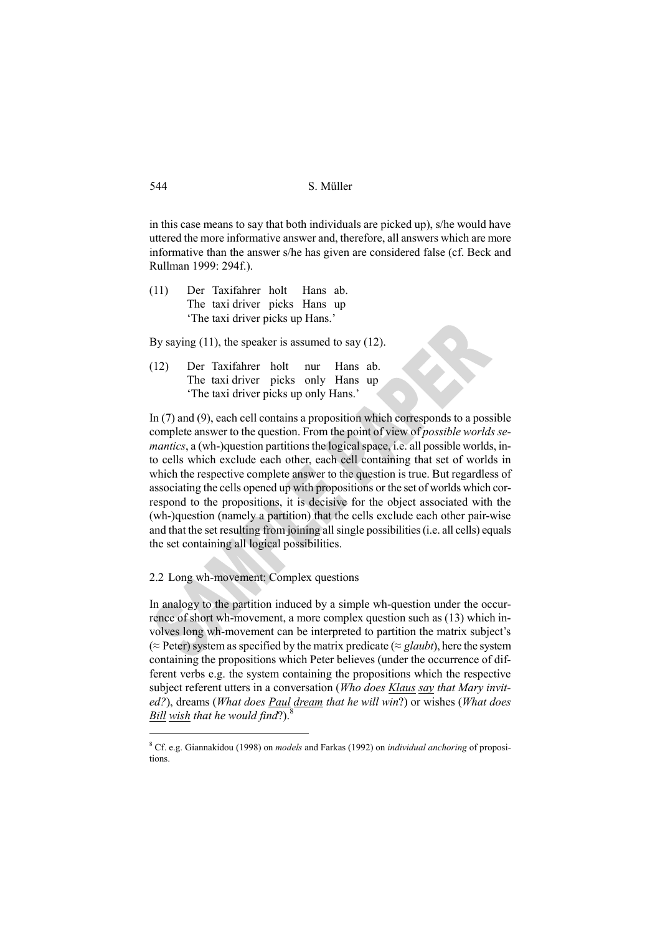in this case means to say that both individuals are picked up), s/he would have uttered the more informative answer and, therefore, all answers which are more informative than the answer s/he has given are considered false (cf. Beck and Rullman 1999: 294f.).

(11) Der Taxifahrer holt Hans ab. The taxi driver picks Hans up 'The taxi driver picks up Hans.'

By saying (11), the speaker is assumed to say (12).

(12) Der Taxifahrer holt nur Hans ab. The taxi driver picks only Hans up 'The taxi driver picks up only Hans.'

In (7) and (9), each cell contains a proposition which corresponds to a possible complete answer to the question. From the point of view of *possible worlds semantics*, a (wh-)question partitions the logical space, i.e. all possible worlds, into cells which exclude each other, each cell containing that set of worlds in which the respective complete answer to the question is true. But regardless of associating the cells opened up with propositions or the set of worlds which correspond to the propositions, it is decisive for the object associated with the (wh-)question (namely a partition) that the cells exclude each other pair-wise and that the set resulting from joining all single possibilities (i.e. all cells) equals the set containing all logical possibilities.

2.2 Long wh-movement: Complex questions

In analogy to the partition induced by a simple wh-question under the occurrence of short wh-movement, a more complex question such as (13) which involves long wh-movement can be interpreted to partition the matrix subject's  $(\approx$  Peter) system as specified by the matrix predicate ( $\approx$  *glaubt*), here the system containing the propositions which Peter believes (under the occurrence of different verbs e.g. the system containing the propositions which the respective subject referent utters in a conversation (*Who does Klaus say that Mary invited?*), dreams (*What does Paul dream that he will win*?) or wishes (*What does Bill wish that he would find*?).

<sup>8</sup> Cf. e.g. Giannakidou (1998) on *models* and Farkas (1992) on *individual anchoring* of propositions.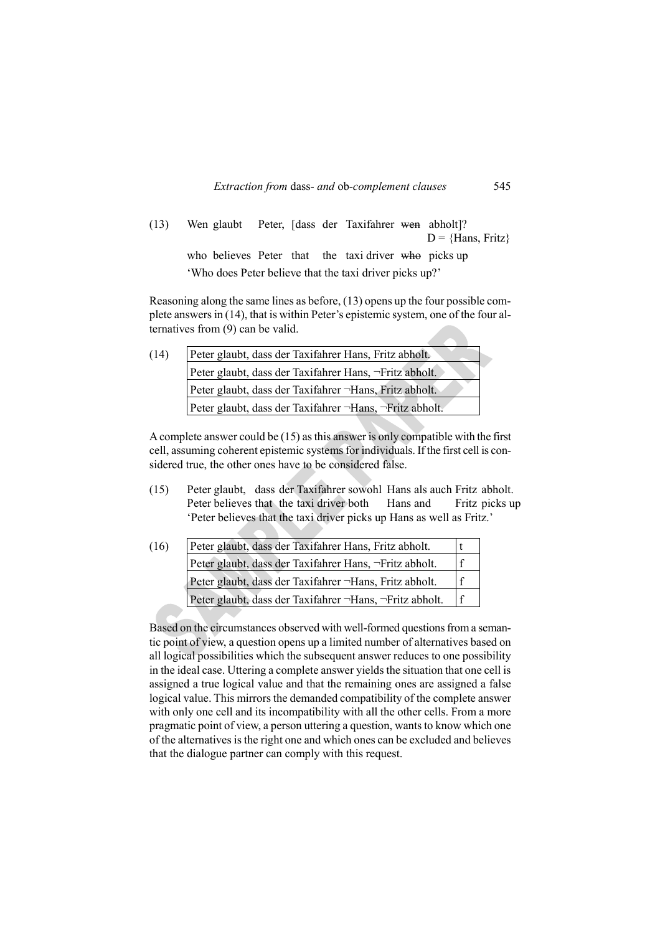(13) Wen glaubt Peter, [dass der Taxifahrer wen abholt]?  $D = {Hans, Fritz}$ who believes Peter that the taxi driver who picks up 'Who does Peter believe that the taxi driver picks up?'

Reasoning along the same lines as before, (13) opens up the four possible complete answers in (14), that is within Peter's epistemic system, one of the four alternatives from (9) can be valid.

| (14) | Peter glaubt, dass der Taxifahrer Hans, Fritz abholt.   |  |
|------|---------------------------------------------------------|--|
|      | Peter glaubt, dass der Taxifahrer Hans, ¬Fritz abholt.  |  |
|      | Peter glaubt, dass der Taxifahrer ~Hans, Fritz abholt.  |  |
|      | Peter glaubt, dass der Taxifahrer ¬Hans, ¬Fritz abholt. |  |

A complete answer could be (15) as this answer is only compatible with the first cell, assuming coherent epistemic systems for individuals. If the first cell is considered true, the other ones have to be considered false.

(15) Peter glaubt, dass der Taxifahrer sowohl Hans als auch Fritz abholt. Peter believes that the taxi driver both Hans and Fritz picks up 'Peter believes that the taxi driver picks up Hans as well as Fritz.'

| (16) | Peter glaubt, dass der Taxifahrer Hans, Fritz abholt.   |  |
|------|---------------------------------------------------------|--|
|      | Peter glaubt, dass der Taxifahrer Hans, ¬Fritz abholt.  |  |
|      | Peter glaubt, dass der Taxifahrer ¬Hans, Fritz abholt.  |  |
|      | Peter glaubt, dass der Taxifahrer ¬Hans, ¬Fritz abholt. |  |

Based on the circumstances observed with well-formed questions from a semantic point of view, a question opens up a limited number of alternatives based on all logical possibilities which the subsequent answer reduces to one possibility in the ideal case. Uttering a complete answer yields the situation that one cell is assigned a true logical value and that the remaining ones are assigned a false logical value. This mirrors the demanded compatibility of the complete answer with only one cell and its incompatibility with all the other cells. From a more pragmatic point of view, a person uttering a question, wants to know which one of the alternatives is the right one and which ones can be excluded and believes that the dialogue partner can comply with this request.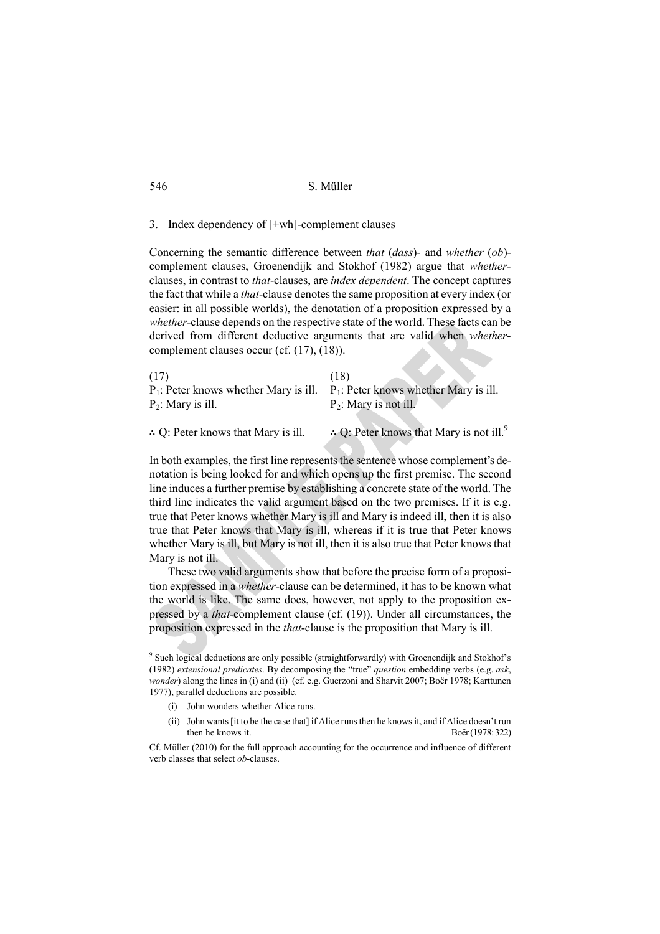3. Index dependency of [+wh]-complement clauses

Concerning the semantic difference between *that* (*dass*)- and *whether* (*ob*) complement clauses, Groenendijk and Stokhof (1982) argue that *whether*clauses, in contrast to *that*-clauses, are *index dependent*. The concept captures the fact that while a *that*-clause denotes the same proposition at every index (or easier: in all possible worlds), the denotation of a proposition expressed by a *whether*-clause depends on the respective state of the world. These facts can be derived from different deductive arguments that are valid when *whether*complement clauses occur (cf. (17), (18)).

| (17)                                     | (18)                                     |
|------------------------------------------|------------------------------------------|
| $P_1$ : Peter knows whether Mary is ill. | $P_1$ : Peter knows whether Mary is ill. |
| $P_2$ : Mary is ill.                     | $P_2$ : Mary is not ill.                 |
|                                          |                                          |

∴ Q: Peter knows that Mary is ill.  $\therefore$  Q: Peter knows that Mary is not ill.<sup>9</sup>

In both examples, the first line represents the sentence whose complement's denotation is being looked for and which opens up the first premise. The second line induces a further premise by establishing a concrete state of the world. The third line indicates the valid argument based on the two premises. If it is e.g. true that Peter knows whether Mary is ill and Mary is indeed ill, then it is also true that Peter knows that Mary is ill, whereas if it is true that Peter knows whether Mary is ill, but Mary is not ill, then it is also true that Peter knows that Mary is not ill.

These two valid arguments show that before the precise form of a proposition expressed in a *whether*-clause can be determined, it has to be known what the world is like. The same does, however, not apply to the proposition expressed by a *that*-complement clause (cf. (19)). Under all circumstances, the proposition expressed in the *that*-clause is the proposition that Mary is ill.

<sup>&</sup>lt;sup>9</sup> Such logical deductions are only possible (straightforwardly) with Groenendijk and Stokhof's (1982) *extensional predicates*. By decomposing the "true" *question* embedding verbs (e.g. *ask*, *wonder*) along the lines in (i) and (ii) (cf. e.g. Guerzoni and Sharvit 2007; Boër 1978; Karttunen 1977), parallel deductions are possible.

 <sup>(</sup>i) John wonders whether Alice runs.

 <sup>(</sup>ii) John wants [it to be the case that] if Alice runs then he knows it, and if Alice doesn't run then he knows it. Boër (1978: 322)

Cf. Müller (2010) for the full approach accounting for the occurrence and influence of different verb classes that select *ob*-clauses.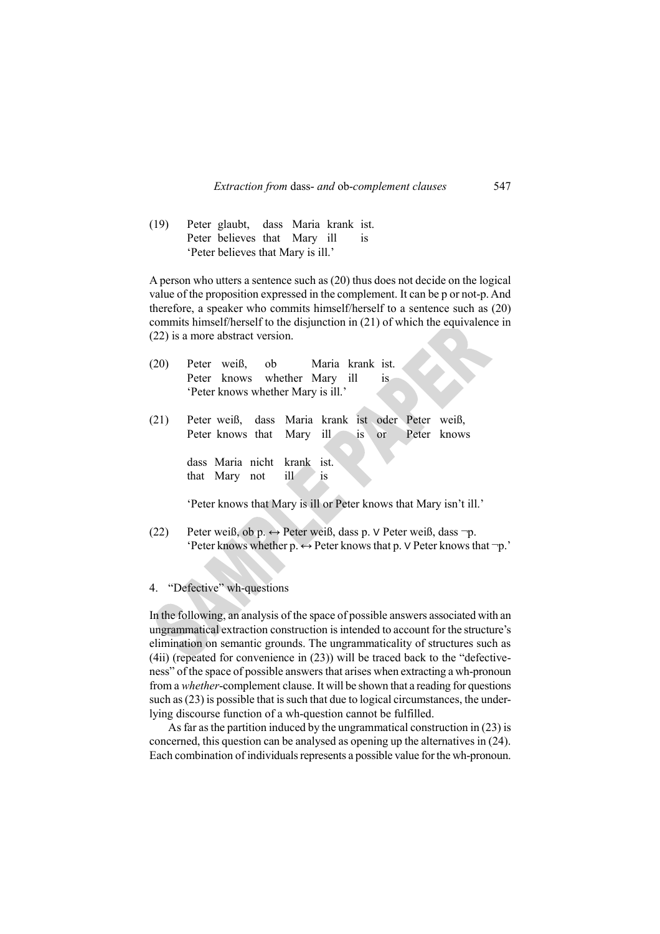(19) Peter glaubt, dass Maria krank ist. Peter believes that Mary ill is 'Peter believes that Mary is ill.'

A person who utters a sentence such as (20) thus does not decide on the logical value of the proposition expressed in the complement. It can be p or not-p. And therefore, a speaker who commits himself/herself to a sentence such as (20) commits himself/herself to the disjunction in (21) of which the equivalence in (22) is a more abstract version.

- (20) Peter weiß, ob Maria krank ist. Peter knows whether Mary ill is 'Peter knows whether Mary is ill.'
- (21) Peter weiß, dass Maria krank ist oder Peter weiß, Peter knows that Mary ill is or Peter knows

dass Maria nicht krank ist. that Mary not ill is

'Peter knows that Mary is ill or Peter knows that Mary isn't ill.'

(22) Peter weiß, ob p.  $\leftrightarrow$  Peter weiß, dass p.  $\vee$  Peter weiß, dass  $\neg$ p. 'Peter knows whether p. ↔ Peter knows that p. ∨ Peter knows that ¬p.'

### 4. "Defective" wh-questions

In the following, an analysis of the space of possible answers associated with an ungrammatical extraction construction is intended to account for the structure's elimination on semantic grounds. The ungrammaticality of structures such as (4ii) (repeated for convenience in (23)) will be traced back to the "defectiveness" of the space of possible answers that arises when extracting a wh-pronoun from a *whether*-complement clause. It will be shown that a reading for questions such as (23) is possible that is such that due to logical circumstances, the underlying discourse function of a wh-question cannot be fulfilled.

As far as the partition induced by the ungrammatical construction in (23) is concerned, this question can be analysed as opening up the alternatives in (24). Each combination of individuals represents a possible value for the wh-pronoun.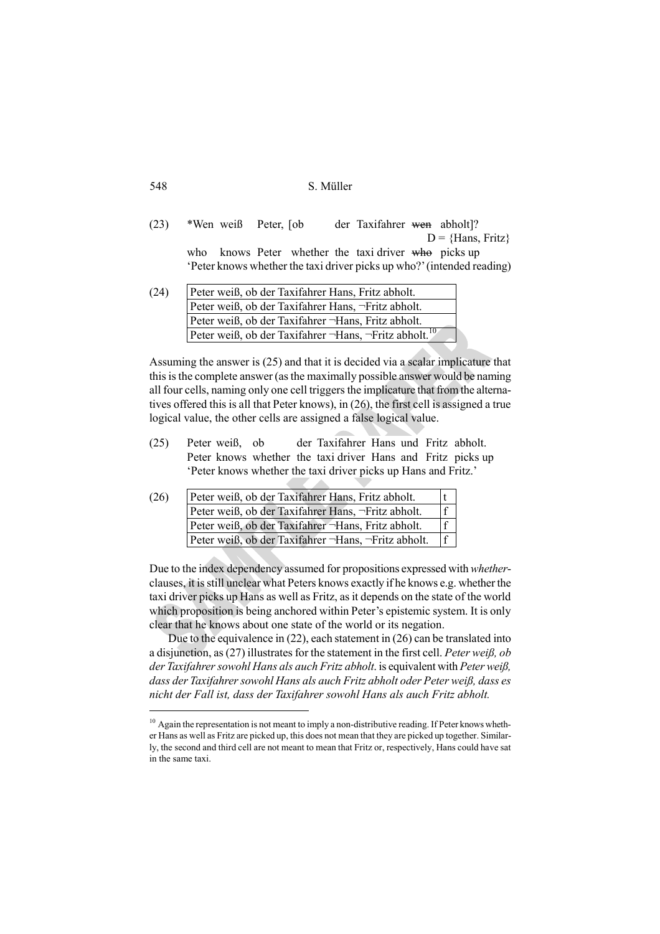| 548 |  | S. Müller |
|-----|--|-----------|
|     |  |           |

(23) \*Wen weiß Peter, [ob der Taxifahrer wen abholt]?  $D = {Hans, Fritz}$ who knows Peter whether the taxi driver who picks up

'Peter knows whether the taxi driver picks up who?' (intended reading)

(24) Peter weiß, ob der Taxifahrer Hans, Fritz abholt. Peter weiß, ob der Taxifahrer Hans, ¬Fritz abholt. Peter weiß, ob der Taxifahrer ¬Hans, Fritz abholt. Peter weiß, ob der Taxifahrer ¬Hans, ¬Fritz abholt. 10

Assuming the answer is (25) and that it is decided via a scalar implicature that this is the complete answer (as the maximally possible answer would be naming all four cells, naming only one cell triggers the implicature that from the alternatives offered this is all that Peter knows), in (26), the first cell is assigned a true logical value, the other cells are assigned a false logical value.

- (25) Peter weiß, ob der Taxifahrer Hans und Fritz abholt. Peter knows whether the taxi driver Hans and Fritz picks up 'Peter knows whether the taxi driver picks up Hans and Fritz.'
- (26) Peter weiß, ob der Taxifahrer Hans, Fritz abholt. Peter weiß, ob der Taxifahrer Hans, ¬Fritz abholt. f Peter weiß, ob der Taxifahrer ¬Hans, Fritz abholt. f Peter weiß, ob der Taxifahrer ¬Hans, ¬Fritz abholt. f

Due to the index dependency assumed for propositions expressed with *whether*clauses, it is still unclear what Peters knows exactly if he knows e.g. whether the taxi driver picks up Hans as well as Fritz, as it depends on the state of the world which proposition is being anchored within Peter's epistemic system. It is only clear that he knows about one state of the world or its negation.

Due to the equivalence in (22), each statement in (26) can be translated into a disjunction, as (27) illustrates for the statement in the first cell. *Peter weiß, ob der Taxifahrer sowohl Hans als auch Fritz abholt*. is equivalent with *Peter weiß, dass der Taxifahrer sowohl Hans als auch Fritz abholt oder Peter weiß, dass es nicht der Fall ist, dass der Taxifahrer sowohl Hans als auch Fritz abholt.* 

<sup>&</sup>lt;sup>10</sup> Again the representation is not meant to imply a non-distributive reading. If Peter knows whether Hans as well as Fritz are picked up, this does not mean that they are picked up together. Similarly, the second and third cell are not meant to mean that Fritz or, respectively, Hans could have sat in the same taxi.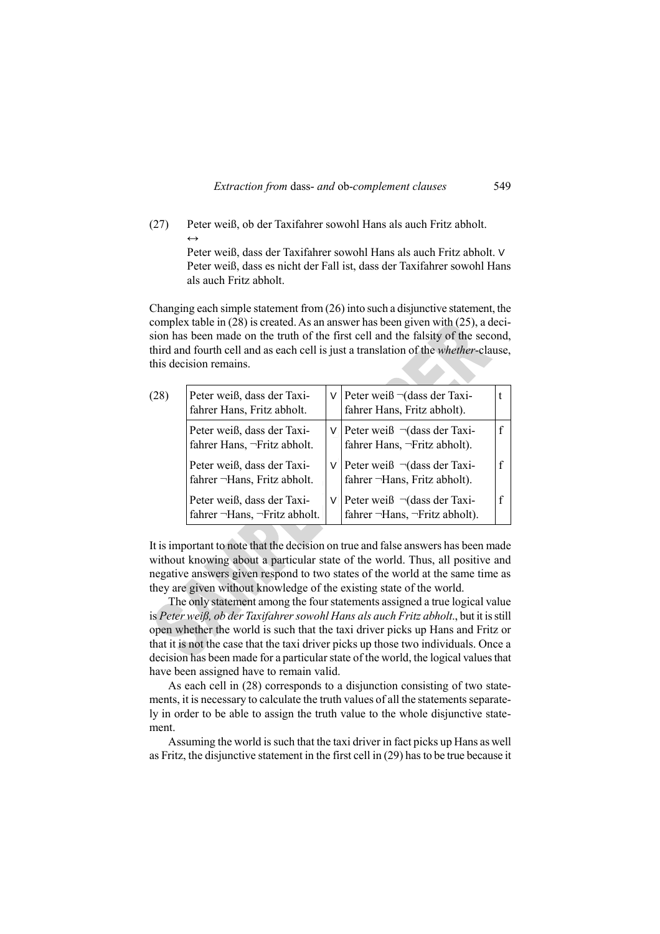(27) Peter weiß, ob der Taxifahrer sowohl Hans als auch Fritz abholt. ↔

> Peter weiß, dass der Taxifahrer sowohl Hans als auch Fritz abholt. ∨ Peter weiß, dass es nicht der Fall ist, dass der Taxifahrer sowohl Hans als auch Fritz abholt.

Changing each simple statement from (26) into such a disjunctive statement, the complex table in (28) is created. As an answer has been given with (25), a decision has been made on the truth of the first cell and the falsity of the second, third and fourth cell and as each cell is just a translation of the *whether*-clause, this decision remains.

| (28) | Peter weiß, dass der Taxi-<br>fahrer Hans, Fritz abholt.   | v | Peter weiß $\neg$ (dass der Taxi-<br>fahrer Hans, Fritz abholt).   |  |
|------|------------------------------------------------------------|---|--------------------------------------------------------------------|--|
|      | Peter weiß, dass der Taxi-<br>fahrer Hans, ~Fritz abholt.  | v | Peter weiß $\neg$ (dass der Taxi-<br>fahrer Hans, ¬Fritz abholt).  |  |
|      | Peter weiß, dass der Taxi-<br>fahrer ~Hans, Fritz abholt.  | v | Peter weiß $\neg$ (dass der Taxi-<br>fahrer ¬Hans, Fritz abholt).  |  |
|      | Peter weiß, dass der Taxi-<br>fahrer ¬Hans, ¬Fritz abholt. | v | Peter weiß $\neg$ (dass der Taxi-<br>fahrer ¬Hans, ¬Fritz abholt). |  |

It is important to note that the decision on true and false answers has been made without knowing about a particular state of the world. Thus, all positive and negative answers given respond to two states of the world at the same time as they are given without knowledge of the existing state of the world.

The only statement among the four statements assigned a true logical value is *Peter weiß, ob der Taxifahrer sowohl Hans als auch Fritz abholt*., but it is still open whether the world is such that the taxi driver picks up Hans and Fritz or that it is not the case that the taxi driver picks up those two individuals. Once a decision has been made for a particular state of the world, the logical values that have been assigned have to remain valid.

As each cell in (28) corresponds to a disjunction consisting of two statements, it is necessary to calculate the truth values of all the statements separately in order to be able to assign the truth value to the whole disjunctive statement.

Assuming the world is such that the taxi driver in fact picks up Hans as well as Fritz, the disjunctive statement in the first cell in (29) has to be true because it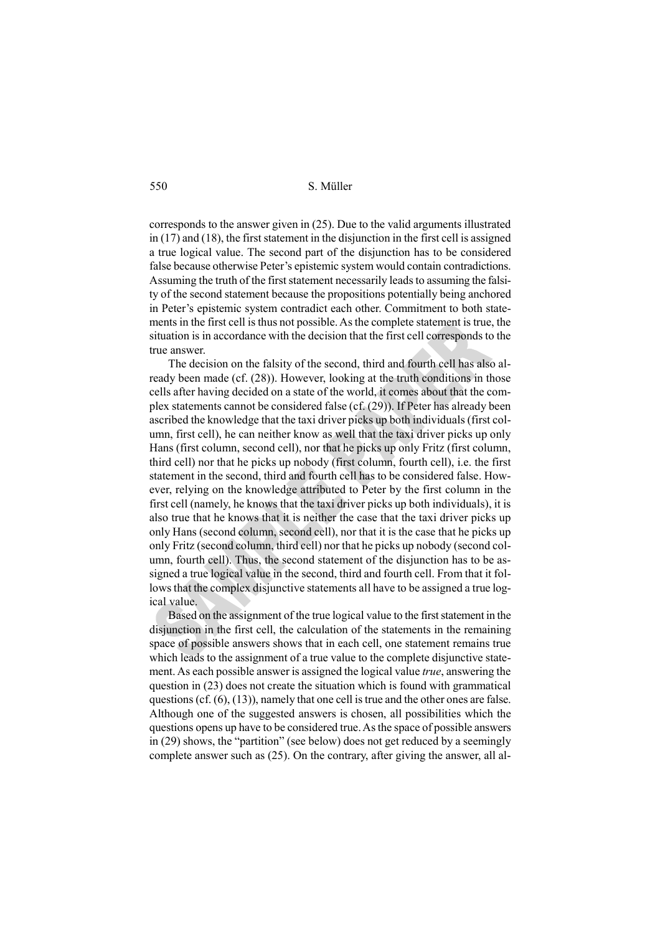corresponds to the answer given in (25). Due to the valid arguments illustrated in (17) and (18), the first statement in the disjunction in the first cell is assigned a true logical value. The second part of the disjunction has to be considered false because otherwise Peter's epistemic system would contain contradictions. Assuming the truth of the first statement necessarily leads to assuming the falsity of the second statement because the propositions potentially being anchored in Peter's epistemic system contradict each other. Commitment to both statements in the first cell is thus not possible. As the complete statement is true, the situation is in accordance with the decision that the first cell corresponds to the true answer.

The decision on the falsity of the second, third and fourth cell has also already been made (cf. (28)). However, looking at the truth conditions in those cells after having decided on a state of the world, it comes about that the complex statements cannot be considered false (cf. (29)). If Peter has already been ascribed the knowledge that the taxi driver picks up both individuals (first column, first cell), he can neither know as well that the taxi driver picks up only Hans (first column, second cell), nor that he picks up only Fritz (first column, third cell) nor that he picks up nobody (first column, fourth cell), i.e. the first statement in the second, third and fourth cell has to be considered false. However, relying on the knowledge attributed to Peter by the first column in the first cell (namely, he knows that the taxi driver picks up both individuals), it is also true that he knows that it is neither the case that the taxi driver picks up only Hans (second column, second cell), nor that it is the case that he picks up only Fritz (second column, third cell) nor that he picks up nobody (second column, fourth cell). Thus, the second statement of the disjunction has to be assigned a true logical value in the second, third and fourth cell. From that it follows that the complex disjunctive statements all have to be assigned a true logical value.

Based on the assignment of the true logical value to the first statement in the disjunction in the first cell, the calculation of the statements in the remaining space of possible answers shows that in each cell, one statement remains true which leads to the assignment of a true value to the complete disjunctive statement. As each possible answer is assigned the logical value *true*, answering the question in (23) does not create the situation which is found with grammatical questions (cf. (6), (13)), namely that one cell is true and the other ones are false. Although one of the suggested answers is chosen, all possibilities which the questions opens up have to be considered true. As the space of possible answers in (29) shows, the "partition" (see below) does not get reduced by a seemingly complete answer such as (25). On the contrary, after giving the answer, all al-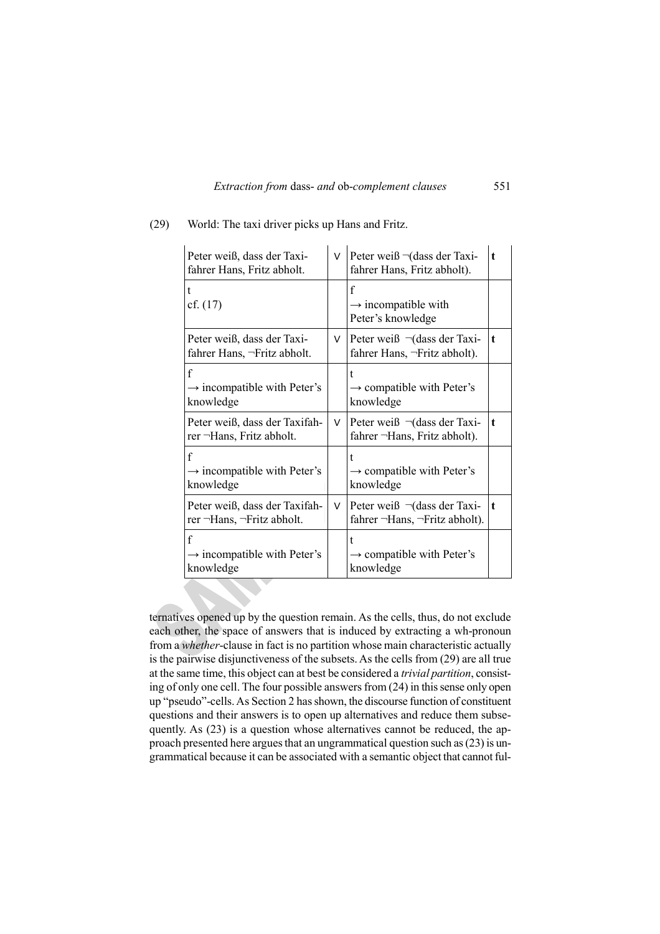|  | Extraction from dass- and ob-complement clauses | 551 |
|--|-------------------------------------------------|-----|
|  |                                                 |     |

| Peter weiß, dass der Taxi-<br>fahrer Hans, Fritz abholt.            | V | Peter weiß $\neg$ (dass der Taxi-<br>fahrer Hans, Fritz abholt).   | t           |
|---------------------------------------------------------------------|---|--------------------------------------------------------------------|-------------|
| t<br>cf. (17)                                                       |   | f<br>$\rightarrow$ incompatible with<br>Peter's knowledge          |             |
| Peter weiß, dass der Taxi-<br>fahrer Hans, ~Fritz abholt.           | V | Peter weiß $\neg$ (dass der Taxi-<br>fahrer Hans, ¬Fritz abholt).  | t           |
| $\mathbf f$<br>$\rightarrow$ incompatible with Peter's<br>knowledge |   | t<br>$\rightarrow$ compatible with Peter's<br>knowledge            |             |
| Peter weiß, dass der Taxifah-<br>rer ¬Hans, Fritz abholt.           | V | Peter weiß $\neg$ (dass der Taxi-<br>fahrer ¬Hans, Fritz abholt).  | $\mathbf t$ |
| $\mathbf f$<br>$\rightarrow$ incompatible with Peter's<br>knowledge |   | t<br>$\rightarrow$ compatible with Peter's<br>knowledge            |             |
| Peter weiß, dass der Taxifah-<br>rer ¬Hans, ¬Fritz abholt.          | V | Peter weiß $\neg$ (dass der Taxi-<br>fahrer ¬Hans, ¬Fritz abholt). | $\mathbf t$ |
| $\mathbf f$<br>$\rightarrow$ incompatible with Peter's<br>knowledge |   | t<br>$\rightarrow$ compatible with Peter's<br>knowledge            |             |

(29) World: The taxi driver picks up Hans and Fritz.

ternatives opened up by the question remain. As the cells, thus, do not exclude each other, the space of answers that is induced by extracting a wh-pronoun from a *whether*-clause in fact is no partition whose main characteristic actually is the pairwise disjunctiveness of the subsets. As the cells from (29) are all true at the same time, this object can at best be considered a *trivial partition*, consisting of only one cell. The four possible answers from (24) in this sense only open up "pseudo"-cells. As Section 2 has shown, the discourse function of constituent questions and their answers is to open up alternatives and reduce them subsequently. As (23) is a question whose alternatives cannot be reduced, the approach presented here argues that an ungrammatical question such as (23) is ungrammatical because it can be associated with a semantic object that cannot ful-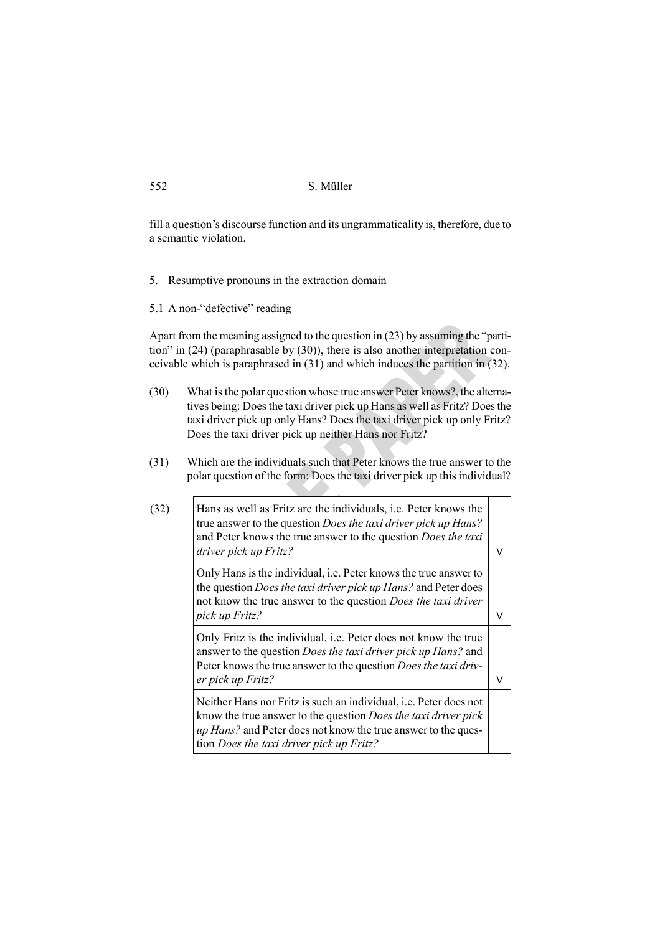fill a question's discourse function and its ungrammaticality is, therefore, due to a semantic violation.

- 5. Resumptive pronouns in the extraction domain
- 5.1 A non-"defective" reading

Apart from the meaning assigned to the question in (23) by assuming the "partition" in (24) (paraphrasable by (30)), there is also another interpretation conceivable which is paraphrased in (31) and which induces the partition in (32).

- (30) What is the polar question whose true answer Peter knows?, the alternatives being: Does the taxi driver pick up Hans as well as Fritz? Does the taxi driver pick up only Hans? Does the taxi driver pick up only Fritz? Does the taxi driver pick up neither Hans nor Fritz?
- (31) Which are the individuals such that Peter knows the true answer to the polar question of the form: Does the taxi driver pick up this individual?

| (32) | Hans as well as Fritz are the individuals, <i>i.e.</i> Peter knows the<br>true answer to the question <i>Does the taxi driver pick up Hans</i> ?<br>and Peter knows the true answer to the question <i>Does the taxi</i><br>driver pick up Fritz?              |   |
|------|----------------------------------------------------------------------------------------------------------------------------------------------------------------------------------------------------------------------------------------------------------------|---|
|      | Only Hans is the individual, <i>i.e.</i> Peter knows the true answer to<br>the question <i>Does the taxi driver pick up Hans?</i> and Peter does<br>not know the true answer to the question <i>Does the taxi driver</i><br>pick up Fritz?                     | v |
|      | Only Fritz is the individual, <i>i.e.</i> Peter does not know the true<br>answer to the question <i>Does the taxi driver pick up Hans?</i> and<br>Peter knows the true answer to the question <i>Does the taxi driv</i> -<br>er pick up Fritz?                 | V |
|      | Neither Hans nor Fritz is such an individual, <i>i.e.</i> Peter does not<br>know the true answer to the question <i>Does the taxi driver pick</i><br>up Hans? and Peter does not know the true answer to the ques-<br>tion Does the taxi driver pick up Fritz? |   |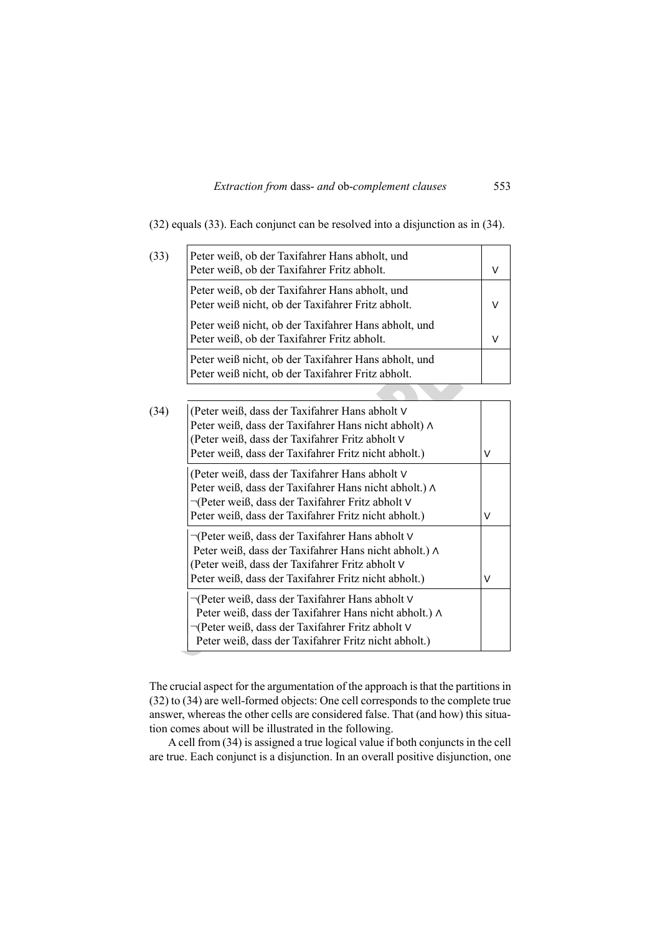| Extraction from dass- and ob-complement clauses |  | 553 |
|-------------------------------------------------|--|-----|
|                                                 |  |     |

|      | (32) equals (33). Each conjunct can be resolved into a disjunction as in (34).                                                                                                                                           |        |
|------|--------------------------------------------------------------------------------------------------------------------------------------------------------------------------------------------------------------------------|--------|
| (33) | Peter weiß, ob der Taxifahrer Hans abholt, und<br>Peter weiß, ob der Taxifahrer Fritz abholt.                                                                                                                            | V      |
|      | Peter weiß, ob der Taxifahrer Hans abholt, und<br>Peter weiß nicht, ob der Taxifahrer Fritz abholt.                                                                                                                      | V      |
|      | Peter weiß nicht, ob der Taxifahrer Hans abholt, und<br>Peter weiß, ob der Taxifahrer Fritz abholt.                                                                                                                      | V      |
|      | Peter weiß nicht, ob der Taxifahrer Hans abholt, und<br>Peter weiß nicht, ob der Taxifahrer Fritz abholt.                                                                                                                |        |
|      |                                                                                                                                                                                                                          |        |
| (34) | (Peter weiß, dass der Taxifahrer Hans abholt V<br>Peter weiß, dass der Taxifahrer Hans nicht abholt) $\wedge$<br>(Peter weiß, dass der Taxifahrer Fritz abholt V<br>Peter weiß, dass der Taxifahrer Fritz nicht abholt.) | V      |
|      | (Peter weiß, dass der Taxifahrer Hans abholt V<br>Peter weiß, dass der Taxifahrer Hans nicht abholt.) A<br>¬(Peter weiß, dass der Taxifahrer Fritz abholt V<br>Peter weiß, dass der Taxifahrer Fritz nicht abholt.)      | $\vee$ |
|      | ¬(Peter weiß, dass der Taxifahrer Hans abholt V<br>Peter weiß, dass der Taxifahrer Hans nicht abholt.) A<br>(Peter weiß, dass der Taxifahrer Fritz abholt V<br>Peter weiß, dass der Taxifahrer Fritz nicht abholt.)      | V      |
|      | -(Peter weiß, dass der Taxifahrer Hans abholt V<br>Peter weiß, dass der Taxifahrer Hans nicht abholt.) A<br>Peter weiß, dass der Taxifahrer Fritz abholt V<br>Peter weiß, dass der Taxifahrer Fritz nicht abholt.)       |        |

The crucial aspect for the argumentation of the approach is that the partitions in (32) to (34) are well-formed objects: One cell corresponds to the complete true answer, whereas the other cells are considered false. That (and how) this situation comes about will be illustrated in the following.

A cell from (34) is assigned a true logical value if both conjuncts in the cell are true. Each conjunct is a disjunction. In an overall positive disjunction, one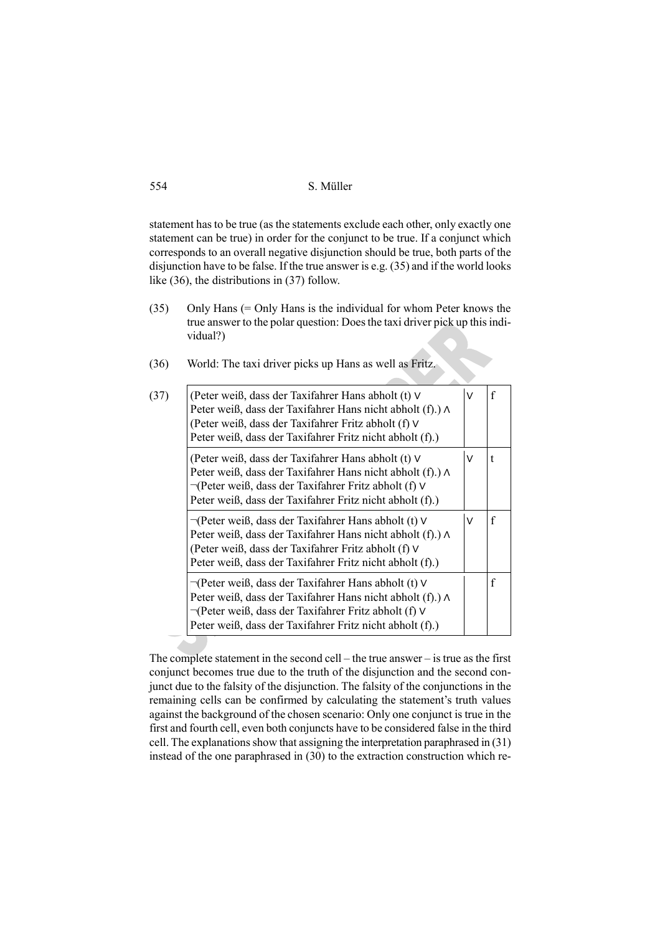statement has to be true (as the statements exclude each other, only exactly one statement can be true) in order for the conjunct to be true. If a conjunct which corresponds to an overall negative disjunction should be true, both parts of the disjunction have to be false. If the true answer is e.g. (35) and if the world looks like (36), the distributions in (37) follow.

(35) Only Hans (= Only Hans is the individual for whom Peter knows the true answer to the polar question: Does the taxi driver pick up this individual?)

| (37) | (Peter weiß, dass der Taxifahrer Hans abholt (t) V<br>Peter weiß, dass der Taxifahrer Hans nicht abholt (f).) A<br>(Peter weiß, dass der Taxifahrer Fritz abholt (f) V<br>Peter weiß, dass der Taxifahrer Fritz nicht abholt (f).)               | $\sqrt{}$ |   |
|------|--------------------------------------------------------------------------------------------------------------------------------------------------------------------------------------------------------------------------------------------------|-----------|---|
|      | (Peter weiß, dass der Taxifahrer Hans abholt (t) V<br>Peter weiß, dass der Taxifahrer Hans nicht abholt (f).) A<br>$\neg$ (Peter weiß, dass der Taxifahrer Fritz abholt (f) V<br>Peter weiß, dass der Taxifahrer Fritz nicht abholt (f).)        | v         |   |
|      | $\neg$ (Peter weiß, dass der Taxifahrer Hans abholt (t) V<br>Peter weiß, dass der Taxifahrer Hans nicht abholt (f).) A<br>(Peter weiß, dass der Taxifahrer Fritz abholt (f) V<br>Peter weiß, dass der Taxifahrer Fritz nicht abholt (f).)        | $\vee$    | f |
|      | $\neg$ (Peter weiß, dass der Taxifahrer Hans abholt (t) V<br>Peter weiß, dass der Taxifahrer Hans nicht abholt (f).) A<br>$\neg$ (Peter weiß, dass der Taxifahrer Fritz abholt (f) V<br>Peter weiß, dass der Taxifahrer Fritz nicht abholt (f).) |           |   |

The complete statement in the second cell – the true answer – is true as the first conjunct becomes true due to the truth of the disjunction and the second conjunct due to the falsity of the disjunction. The falsity of the conjunctions in the remaining cells can be confirmed by calculating the statement's truth values against the background of the chosen scenario: Only one conjunct is true in the first and fourth cell, even both conjuncts have to be considered false in the third cell. The explanations show that assigning the interpretation paraphrased in (31) instead of the one paraphrased in (30) to the extraction construction which re-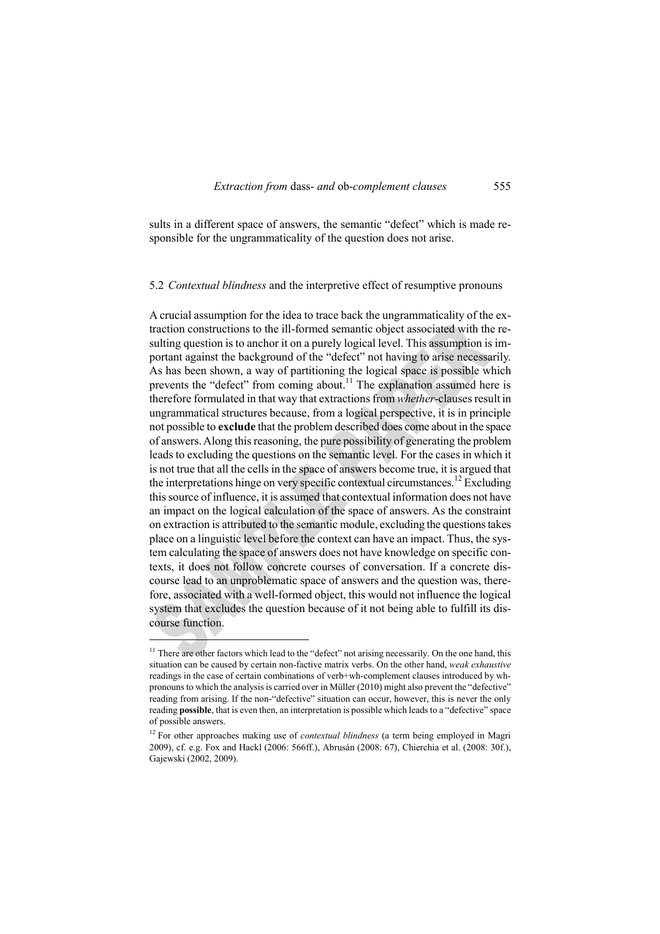

sults in a different space of answers, the semantic "defect" which is made responsible for the ungrammaticality of the question does not arise.

#### 5.2 *Contextual blindness* and the interpretive effect of resumptive pronouns

A crucial assumption for the idea to trace back the ungrammaticality of the extraction constructions to the ill-formed semantic object associated with the resulting question is to anchor it on a purely logical level. This assumption is important against the background of the "defect" not having to arise necessarily. As has been shown, a way of partitioning the logical space is possible which prevents the "defect" from coming about.<sup>11</sup> The explanation assumed here is therefore formulated in that way that extractions from *whether*-clauses result in ungrammatical structures because, from a logical perspective, it is in principle not possible to **exclude** that the problem described does come about in the space of answers. Along this reasoning, the pure possibility of generating the problem leads to excluding the questions on the semantic level. For the cases in which it is not true that all the cells in the space of answers become true, it is argued that the interpretations hinge on very specific contextual circumstances.<sup>12</sup> Excluding this source of influence, it is assumed that contextual information does not have an impact on the logical calculation of the space of answers. As the constraint on extraction is attributed to the semantic module, excluding the questions takes place on a linguistic level before the context can have an impact. Thus, the system calculating the space of answers does not have knowledge on specific contexts, it does not follow concrete courses of conversation. If a concrete discourse lead to an unproblematic space of answers and the question was, therefore, associated with a well-formed object, this would not influence the logical system that excludes the question because of it not being able to fulfill its discourse function.

<sup>&</sup>lt;sup>11</sup> There are other factors which lead to the "defect" not arising necessarily. On the one hand, this situation can be caused by certain non-factive matrix verbs. On the other hand, *weak exhaustive*  readings in the case of certain combinations of verb+wh-complement clauses introduced by whpronouns to which the analysis is carried over in Müller (2010) might also prevent the "defective" reading from arising. If the non-"defective" situation can occur, however, this is never the only reading **possible**, that is even then, an interpretation is possible which leads to a "defective" space of possible answers.

<sup>&</sup>lt;sup>12</sup> For other approaches making use of *contextual blindness* (a term being employed in Magri 2009), cf. e.g. Fox and Hackl (2006: 566ff.), Abrusán (2008: 67), Chierchia et al. (2008: 30f.), Gajewski (2002, 2009).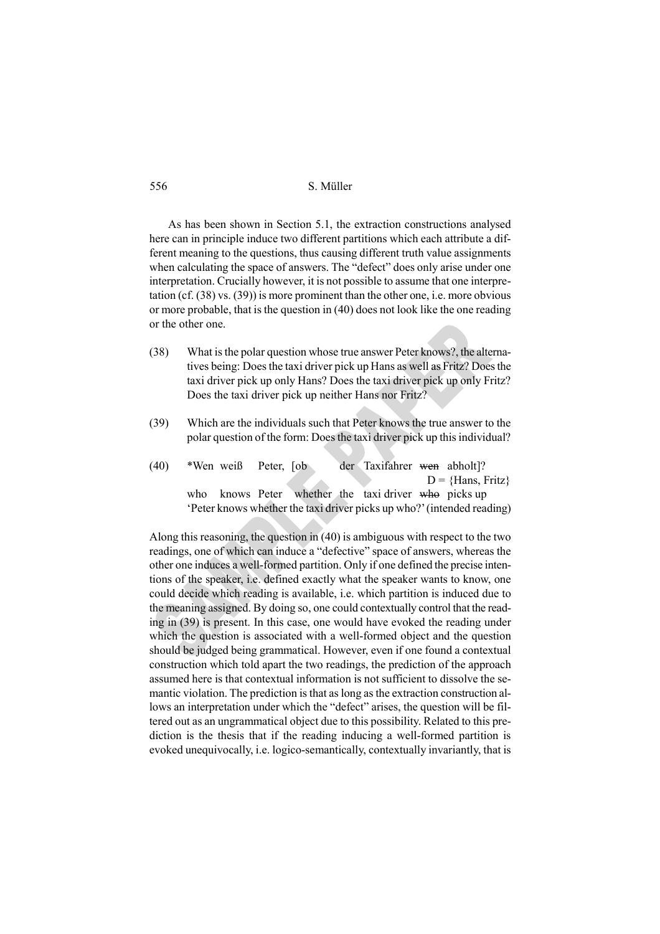As has been shown in Section 5.1, the extraction constructions analysed here can in principle induce two different partitions which each attribute a different meaning to the questions, thus causing different truth value assignments when calculating the space of answers. The "defect" does only arise under one interpretation. Crucially however, it is not possible to assume that one interpretation (cf. (38) vs. (39)) is more prominent than the other one, i.e. more obvious or more probable, that is the question in (40) does not look like the one reading or the other one.

- (38) What is the polar question whose true answer Peter knows?, the alternatives being: Does the taxi driver pick up Hans as well as Fritz? Does the taxi driver pick up only Hans? Does the taxi driver pick up only Fritz? Does the taxi driver pick up neither Hans nor Fritz?
- (39) Which are the individuals such that Peter knows the true answer to the polar question of the form: Does the taxi driver pick up this individual?

(40) \*Wen weiß Peter, [ob der Taxifahrer wen abholt]?  $D = {Hans, Fritz}$ who knows Peter whether the taxi driver who picks up 'Peter knows whether the taxi driver picks up who?' (intended reading)

Along this reasoning, the question in (40) is ambiguous with respect to the two readings, one of which can induce a "defective" space of answers, whereas the other one induces a well-formed partition. Only if one defined the precise intentions of the speaker, i.e. defined exactly what the speaker wants to know, one could decide which reading is available, i.e. which partition is induced due to the meaning assigned. By doing so, one could contextually control that the reading in (39) is present. In this case, one would have evoked the reading under which the question is associated with a well-formed object and the question should be judged being grammatical. However, even if one found a contextual construction which told apart the two readings, the prediction of the approach assumed here is that contextual information is not sufficient to dissolve the semantic violation. The prediction is that as long as the extraction construction allows an interpretation under which the "defect" arises, the question will be filtered out as an ungrammatical object due to this possibility. Related to this prediction is the thesis that if the reading inducing a well-formed partition is evoked unequivocally, i.e. logico-semantically, contextually invariantly, that is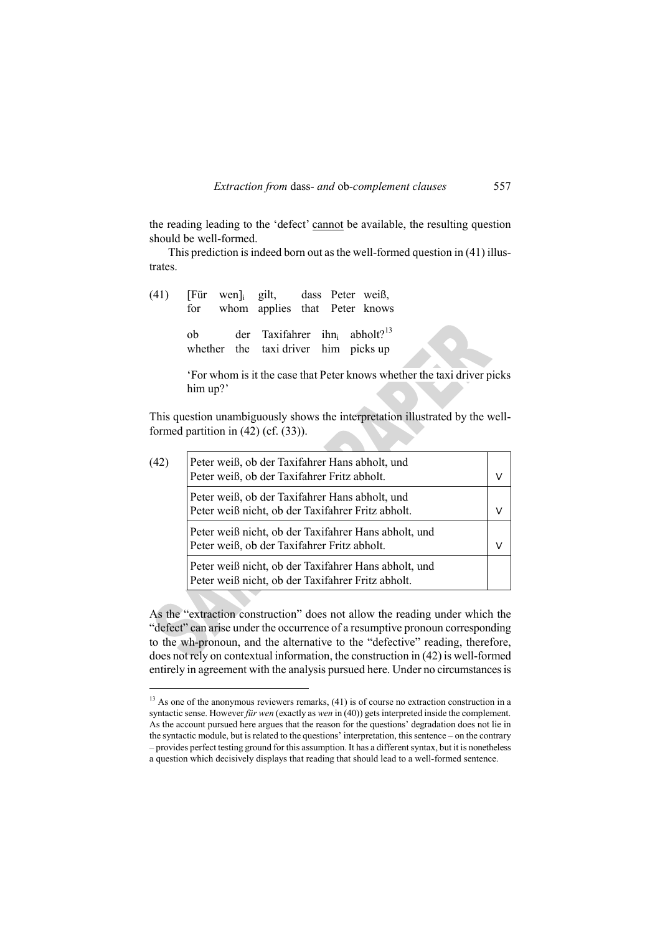the reading leading to the 'defect' cannot be available, the resulting question should be well-formed.

This prediction is indeed born out as the well-formed question in (41) illustrates.

(41) [Für wen]i gilt, dass Peter weiß, for whom applies that Peter knows ob der Taxifahrer ihn<sub>i</sub> abholt?<sup>13</sup> whether the taxi-driver him picks up

> 'For whom is it the case that Peter knows whether the taxi driver picks him up?'

This question unambiguously shows the interpretation illustrated by the wellformed partition in  $(42)$  (cf.  $(33)$ ).

| (42) | Peter weiß, ob der Taxifahrer Hans abholt, und<br>Peter weiß, ob der Taxifahrer Fritz abholt.             |  |
|------|-----------------------------------------------------------------------------------------------------------|--|
|      | Peter weiß, ob der Taxifahrer Hans abholt, und<br>Peter weiß nicht, ob der Taxifahrer Fritz abholt.       |  |
|      | Peter weiß nicht, ob der Taxifahrer Hans abholt, und<br>Peter weiß, ob der Taxifahrer Fritz abholt.       |  |
|      | Peter weiß nicht, ob der Taxifahrer Hans abholt, und<br>Peter weiß nicht, ob der Taxifahrer Fritz abholt. |  |

As the "extraction construction" does not allow the reading under which the "defect" can arise under the occurrence of a resumptive pronoun corresponding to the wh-pronoun, and the alternative to the "defective" reading, therefore, does not rely on contextual information, the construction in (42) is well-formed entirely in agreement with the analysis pursued here. Under no circumstances is

 $13$  As one of the anonymous reviewers remarks, (41) is of course no extraction construction in a syntactic sense. However *für wen* (exactly as *wen* in (40)) gets interpreted inside the complement. As the account pursued here argues that the reason for the questions' degradation does not lie in the syntactic module, but is related to the questions' interpretation, this sentence – on the contrary – provides perfect testing ground for this assumption. It has a different syntax, but it is nonetheless a question which decisively displays that reading that should lead to a well-formed sentence.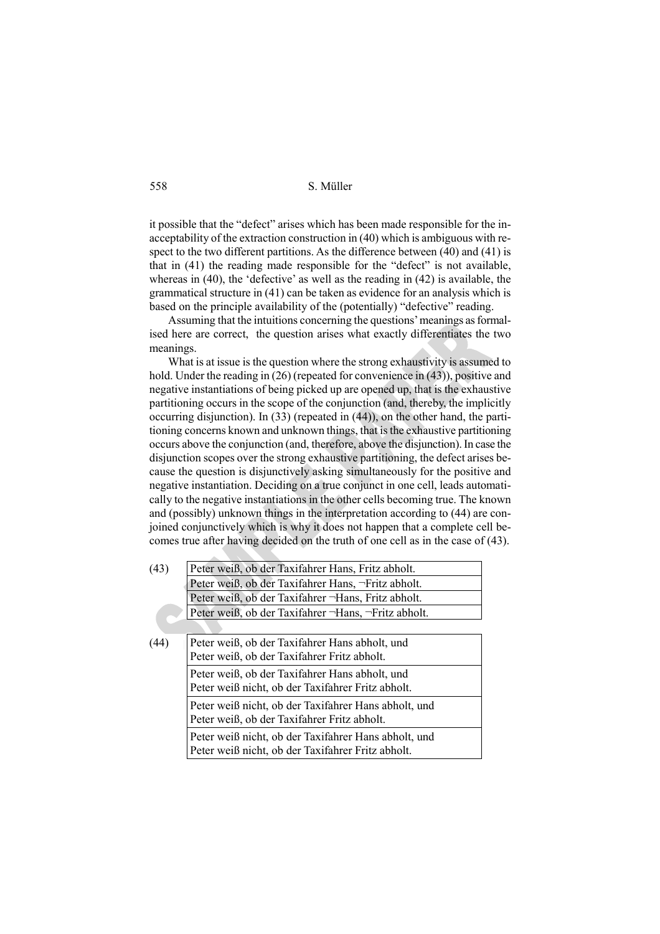it possible that the "defect" arises which has been made responsible for the inacceptability of the extraction construction in (40) which is ambiguous with respect to the two different partitions. As the difference between (40) and (41) is that in (41) the reading made responsible for the "defect" is not available, whereas in (40), the 'defective' as well as the reading in (42) is available, the grammatical structure in (41) can be taken as evidence for an analysis which is based on the principle availability of the (potentially) "defective" reading.

Assuming that the intuitions concerning the questions' meanings as formalised here are correct, the question arises what exactly differentiates the two meanings.

What is at issue is the question where the strong exhaustivity is assumed to hold. Under the reading in (26) (repeated for convenience in (43)), positive and negative instantiations of being picked up are opened up, that is the exhaustive partitioning occurs in the scope of the conjunction (and, thereby, the implicitly occurring disjunction). In (33) (repeated in (44)), on the other hand, the partitioning concerns known and unknown things, that is the exhaustive partitioning occurs above the conjunction (and, therefore, above the disjunction). In case the disjunction scopes over the strong exhaustive partitioning, the defect arises because the question is disjunctively asking simultaneously for the positive and negative instantiation. Deciding on a true conjunct in one cell, leads automatically to the negative instantiations in the other cells becoming true. The known and (possibly) unknown things in the interpretation according to (44) are conjoined conjunctively which is why it does not happen that a complete cell becomes true after having decided on the truth of one cell as in the case of (43).

| (43) | Peter weiß, ob der Taxifahrer Hans, Fritz abholt.    |
|------|------------------------------------------------------|
|      | Peter weiß, ob der Taxifahrer Hans, ¬Fritz abholt.   |
|      | Peter weiß, ob der Taxifahrer ¬Hans, Fritz abholt.   |
|      | Peter weiß, ob der Taxifahrer ¬Hans, ¬Fritz abholt.  |
|      |                                                      |
| (44) | Peter weiß, ob der Taxifahrer Hans abholt, und       |
|      | Peter weiß, ob der Taxifahrer Fritz abholt.          |
|      | Peter weiß, ob der Taxifahrer Hans abholt, und       |
|      | Peter weiß nicht, ob der Taxifahrer Fritz abholt.    |
|      | Peter weiß nicht, ob der Taxifahrer Hans abholt, und |
|      | Peter weiß, ob der Taxifahrer Fritz abholt.          |
|      | Peter weiß nicht, ob der Taxifahrer Hans abholt, und |
|      | Peter weiß nicht, ob der Taxifahrer Fritz abholt.    |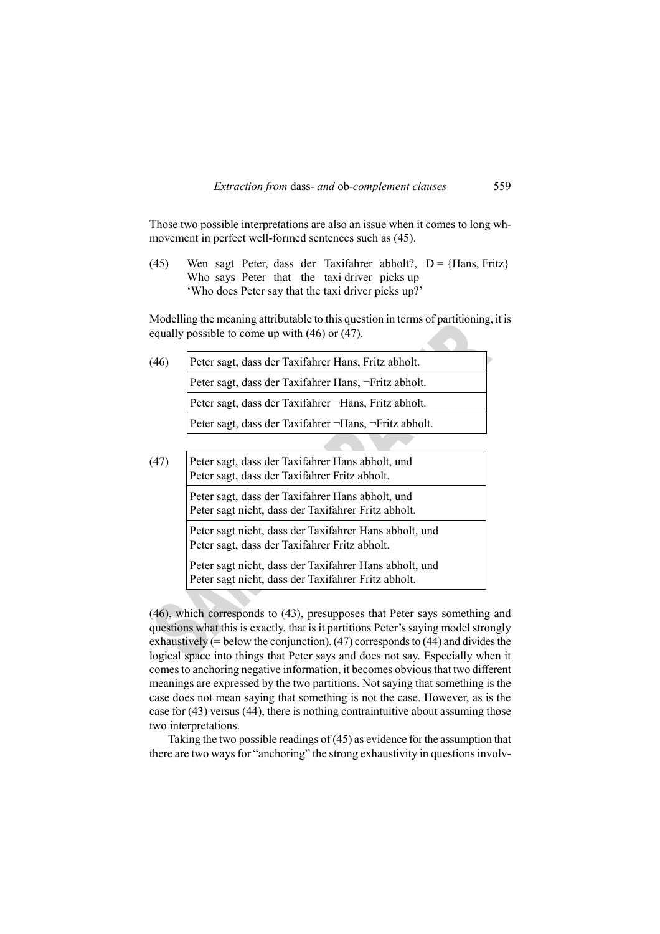

Those two possible interpretations are also an issue when it comes to long whmovement in perfect well-formed sentences such as (45).

(45) Wen sagt Peter, dass der Taxifahrer abholt?,  $D = {Hans, Fritz}$ Who says Peter that the taxi driver picks up 'Who does Peter say that the taxi driver picks up?'

Modelling the meaning attributable to this question in terms of partitioning, it is equally possible to come up with (46) or (47).

| (46) | Peter sagt, dass der Taxifahrer Hans, Fritz abholt.   |
|------|-------------------------------------------------------|
|      | Peter sagt, dass der Taxifahrer Hans, ¬Fritz abholt.  |
|      | Peter sagt, dass der Taxifahrer ~Hans, Fritz abholt.  |
|      | Peter sagt, dass der Taxifahrer ¬Hans, ¬Fritz abholt. |
|      |                                                       |

(47) Peter sagt, dass der Taxifahrer Hans abholt, und Peter sagt, dass der Taxifahrer Fritz abholt. Peter sagt, dass der Taxifahrer Hans abholt, und Peter sagt nicht, dass der Taxifahrer Fritz abholt. Peter sagt nicht, dass der Taxifahrer Hans abholt, und Peter sagt, dass der Taxifahrer Fritz abholt. Peter sagt nicht, dass der Taxifahrer Hans abholt, und Peter sagt nicht, dass der Taxifahrer Fritz abholt.

(46), which corresponds to (43), presupposes that Peter says something and questions what this is exactly, that is it partitions Peter's saying model strongly exhaustively (= below the conjunction). (47) corresponds to (44) and divides the logical space into things that Peter says and does not say. Especially when it comes to anchoring negative information, it becomes obvious that two different meanings are expressed by the two partitions. Not saying that something is the case does not mean saying that something is not the case. However, as is the case for (43) versus (44), there is nothing contraintuitive about assuming those two interpretations.

Taking the two possible readings of (45) as evidence for the assumption that there are two ways for "anchoring" the strong exhaustivity in questions involv-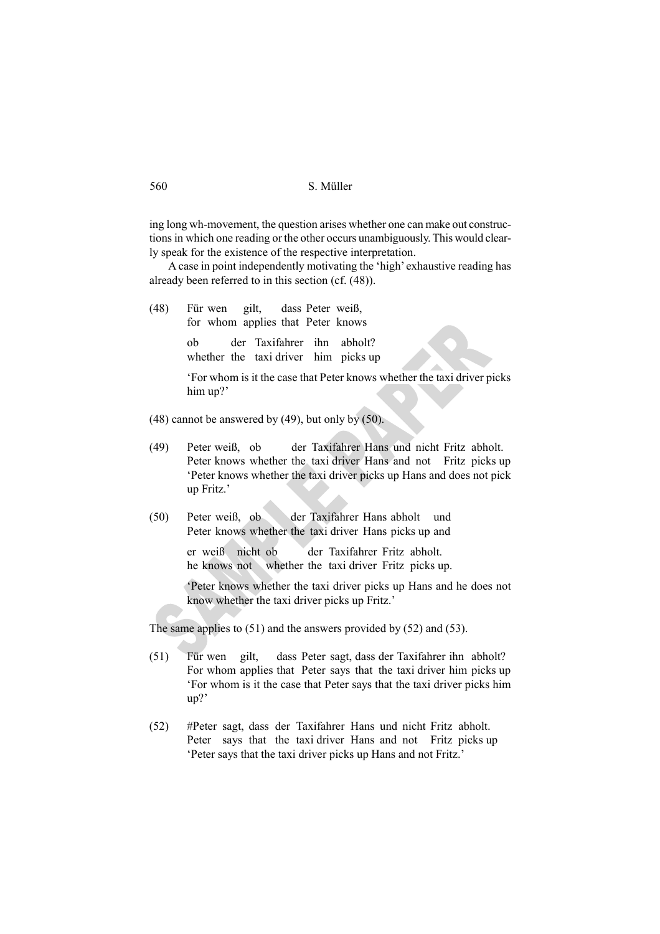ing long wh-movement, the question arises whether one can make out constructions in which one reading or the other occurs unambiguously. This would clearly speak for the existence of the respective interpretation.

A case in point independently motivating the 'high' exhaustive reading has already been referred to in this section (cf. (48)).

(48) Für wen gilt, dass Peter weiß, for whom applies that Peter knows

> ob der Taxifahrer ihn abholt? whether the taxi driver him picks up

'For whom is it the case that Peter knows whether the taxi driver picks him up?'

 $(48)$  cannot be answered by  $(49)$ , but only by  $(50)$ .

- (49) Peter weiß, ob der Taxifahrer Hans und nicht Fritz abholt. Peter knows whether the taxi driver Hans and not Fritz picks up 'Peter knows whether the taxi driver picks up Hans and does not pick up Fritz.'
- (50) Peter weiß, ob der Taxifahrer Hans abholt und Peter knows whether the taxi driver Hans picks up and

er weiß nicht ob der Taxifahrer Fritz abholt. he knows not whether the taxi driver Fritz picks up.

'Peter knows whether the taxi driver picks up Hans and he does not know whether the taxi driver picks up Fritz.'

The same applies to (51) and the answers provided by (52) and (53).

- (51) Für wen gilt, dass Peter sagt, dass der Taxifahrer ihn abholt? For whom applies that Peter says that the taxi driver him picks up 'For whom is it the case that Peter says that the taxi driver picks him up?'
- (52) #Peter sagt, dass der Taxifahrer Hans und nicht Fritz abholt. Peter says that the taxi driver Hans and not Fritz picks up 'Peter says that the taxi driver picks up Hans and not Fritz.'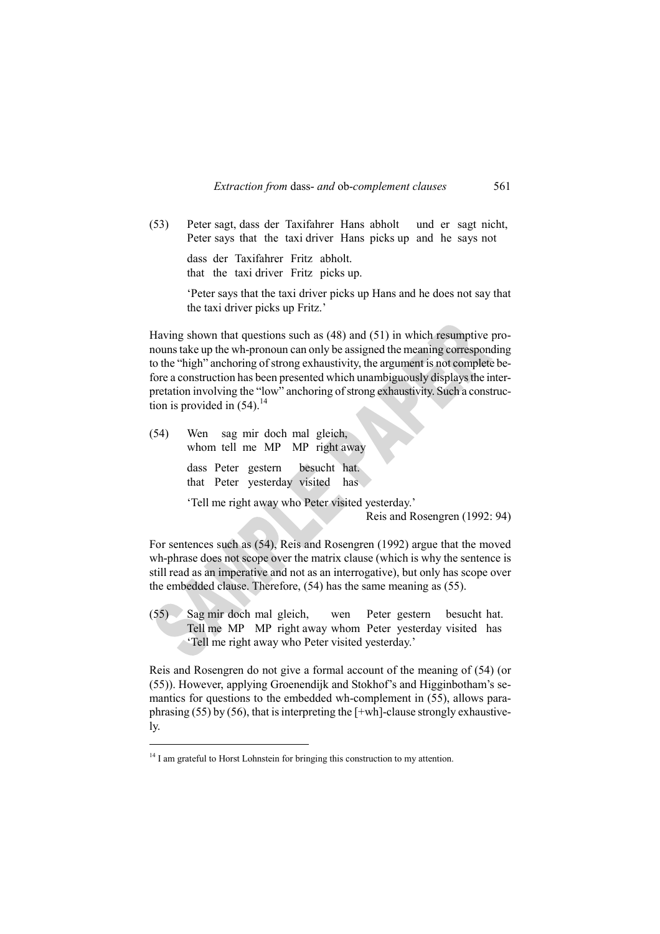(53) Peter sagt, dass der Taxifahrer Hans abholt und er sagt nicht, Peter says that the taxi driver Hans picks up and he says not

dass der Taxifahrer Fritz abholt. that the taxi driver Fritz picks up.

'Peter says that the taxi driver picks up Hans and he does not say that the taxi driver picks up Fritz.'

Having shown that questions such as (48) and (51) in which resumptive pronouns take up the wh-pronoun can only be assigned the meaning corresponding to the "high" anchoring of strong exhaustivity, the argument is not complete before a construction has been presented which unambiguously displays the interpretation involving the "low" anchoring of strong exhaustivity. Such a construction is provided in  $(54)$ .<sup>14</sup>

(54) Wen sag mir doch mal gleich, whom tell me MP MP right away dass Peter gestern besucht hat. that Peter yesterday visited has

'Tell me right away who Peter visited yesterday.'

Reis and Rosengren (1992: 94)

For sentences such as (54), Reis and Rosengren (1992) argue that the moved wh-phrase does not scope over the matrix clause (which is why the sentence is still read as an imperative and not as an interrogative), but only has scope over the embedded clause. Therefore, (54) has the same meaning as (55).

(55) Sag mir doch mal gleich, wen Peter gestern besucht hat. Tell me MP MP right away whom Peter yesterday visited has 'Tell me right away who Peter visited yesterday.'

Reis and Rosengren do not give a formal account of the meaning of (54) (or (55)). However, applying Groenendijk and Stokhof's and Higginbotham's semantics for questions to the embedded wh-complement in (55), allows paraphrasing (55) by (56), that is interpreting the  $[+wh]$ -clause strongly exhaustively.

<sup>&</sup>lt;sup>14</sup> I am grateful to Horst Lohnstein for bringing this construction to my attention.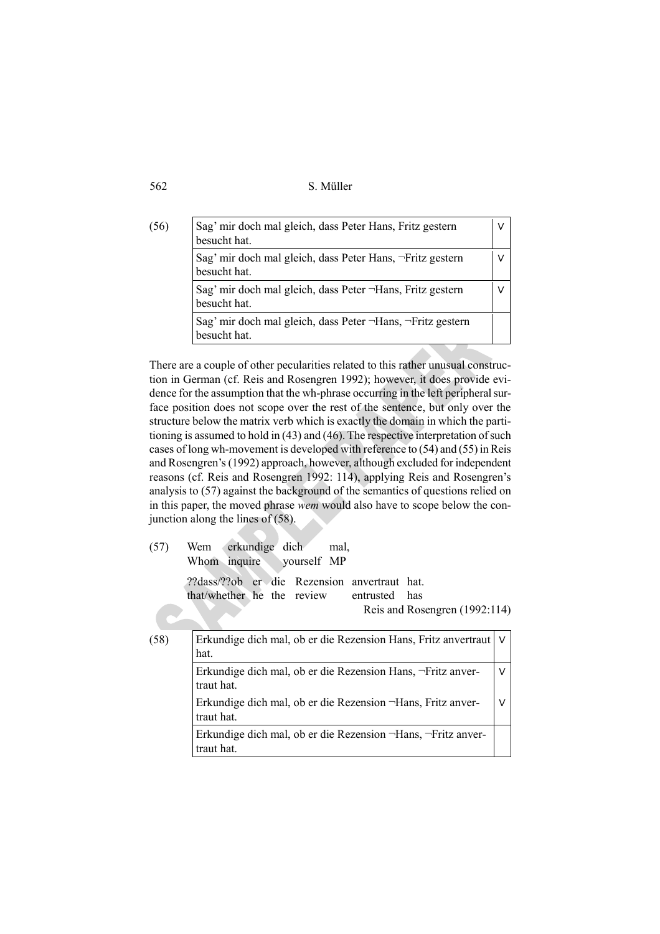| 562 |  | S. Müller |
|-----|--|-----------|
|     |  |           |

| (56) | Sag' mir doch mal gleich, dass Peter Hans, Fritz gestern<br>besucht hat.   | ν |
|------|----------------------------------------------------------------------------|---|
|      | Sag' mir doch mal gleich, dass Peter Hans, ¬Fritz gestern<br>besucht hat.  |   |
|      | Sag' mir doch mal gleich, dass Peter ¬Hans, Fritz gestern<br>besucht hat.  |   |
|      | Sag' mir doch mal gleich, dass Peter ¬Hans, ¬Fritz gestern<br>besucht hat. |   |

There are a couple of other pecularities related to this rather unusual construction in German (cf. Reis and Rosengren 1992); however, it does provide evidence for the assumption that the wh-phrase occurring in the left peripheral surface position does not scope over the rest of the sentence, but only over the structure below the matrix verb which is exactly the domain in which the partitioning is assumed to hold in (43) and (46). The respective interpretation of such cases of long wh-movement is developed with reference to (54) and (55) in Reis and Rosengren's (1992) approach, however, although excluded for independent reasons (cf. Reis and Rosengren 1992: 114), applying Reis and Rosengren's analysis to (57) against the background of the semantics of questions relied on in this paper, the moved phrase *wem* would also have to scope below the conjunction along the lines of (58).

| (57) | erkundige dich<br>Wem<br>mal.<br>Whom inquire yourself MP                                                                 |        |
|------|---------------------------------------------------------------------------------------------------------------------------|--------|
|      | ??dass/??ob er die Rezension anvertraut hat.<br>that/whether he the review entrusted has<br>Reis and Rosengren (1992:114) |        |
| (58) | Erkundige dich mal, ob er die Rezension Hans, Fritz anvertraut<br>hat.                                                    | V      |
|      | Erkundige dich mal, ob er die Rezension Hans, ¬Fritz anver-<br>traut hat.                                                 | $\vee$ |
|      | Erkundige dich mal, ob er die Rezension ¬Hans, Fritz anver-<br>traut hat.                                                 | V      |
|      | Erkundige dich mal, ob er die Rezension ¬Hans, ¬Fritz anver-<br>traut hat.                                                |        |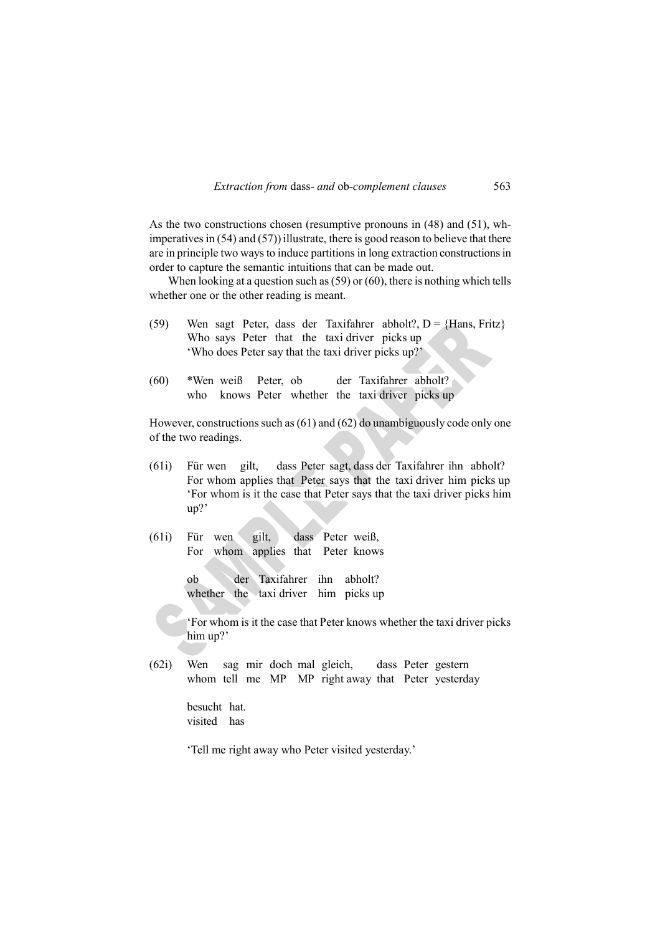As the two constructions chosen (resumptive pronouns in (48) and (51), whimperatives in (54) and (57)) illustrate, there is good reason to believe that there are in principle two ways to induce partitions in long extraction constructions in order to capture the semantic intuitions that can be made out.

When looking at a question such as (59) or (60), there is nothing which tells whether one or the other reading is meant.

- (59) Wen sagt Peter, dass der Taxifahrer abholt?, D = {Hans, Fritz} Who says Peter that the taxi driver picks up 'Who does Peter say that the taxi driver picks up?'
- (60) \*Wen weiß Peter, ob der Taxifahrer abholt? who knows Peter whether the taxi driver picks up

However, constructions such as (61) and (62) do unambiguously code only one of the two readings.

- (61i) Für wen gilt, dass Peter sagt, dass der Taxifahrer ihn abholt? For whom applies that Peter says that the taxi driver him picks up 'For whom is it the case that Peter says that the taxi driver picks him up?'
- (61i) Für wen gilt, dass Peter weiß, For whom applies that Peter knows

ob der Taxifahrer ihn abholt? whether the taxi driver him picks up

'For whom is it the case that Peter knows whether the taxi driver picks him up?'

(62i) Wen sag mir doch mal gleich, dass Peter gestern whom tell me MP MP right away that Peter yesterday

> besucht hat. visited has

'Tell me right away who Peter visited yesterday.'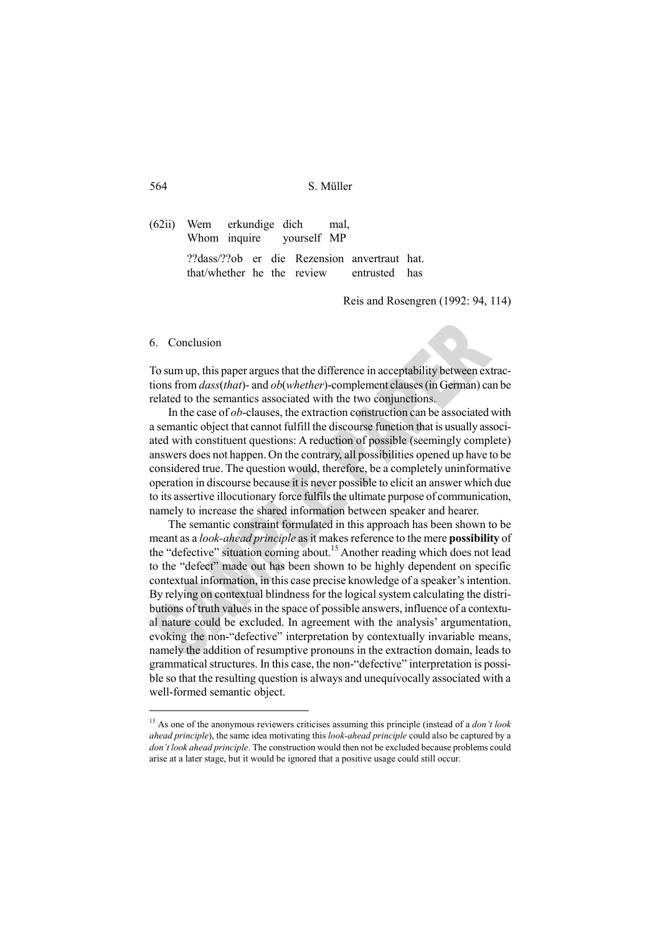(62ii) Wem erkundige dich mal, Whom inquire yourself MP ??dass/??ob er die Rezension anvertraut hat.

that/whether he the review entrusted has

Reis and Rosengren (1992: 94, 114)

#### 6. Conclusion

 $\overline{a}$ 

To sum up, this paper argues that the difference in acceptability between extractions from *dass*(*that*)- and *ob*(*whether*)-complement clauses (in German) can be related to the semantics associated with the two conjunctions.

In the case of *ob*-clauses, the extraction construction can be associated with a semantic object that cannot fulfill the discourse function that is usually associated with constituent questions: A reduction of possible (seemingly complete) answers does not happen. On the contrary, all possibilities opened up have to be considered true. The question would, therefore, be a completely uninformative operation in discourse because it is never possible to elicit an answer which due to its assertive illocutionary force fulfils the ultimate purpose of communication, namely to increase the shared information between speaker and hearer.

The semantic constraint formulated in this approach has been shown to be meant as a *look-ahead principle* as it makes reference to the mere **possibility** of the "defective" situation coming about.<sup>15</sup> Another reading which does not lead to the "defect" made out has been shown to be highly dependent on specific contextual information, in this case precise knowledge of a speaker's intention. By relying on contextual blindness for the logical system calculating the distributions of truth values in the space of possible answers, influence of a contextual nature could be excluded. In agreement with the analysis' argumentation, evoking the non-"defective" interpretation by contextually invariable means, namely the addition of resumptive pronouns in the extraction domain, leads to grammatical structures. In this case, the non-"defective" interpretation is possible so that the resulting question is always and unequivocally associated with a well-formed semantic object.

<sup>15</sup> As one of the anonymous reviewers criticises assuming this principle (instead of a *don't look ahead principle*), the same idea motivating this *look-ahead principle* could also be captured by a *don't look ahead principle*. The construction would then not be excluded because problems could arise at a later stage, but it would be ignored that a positive usage could still occur.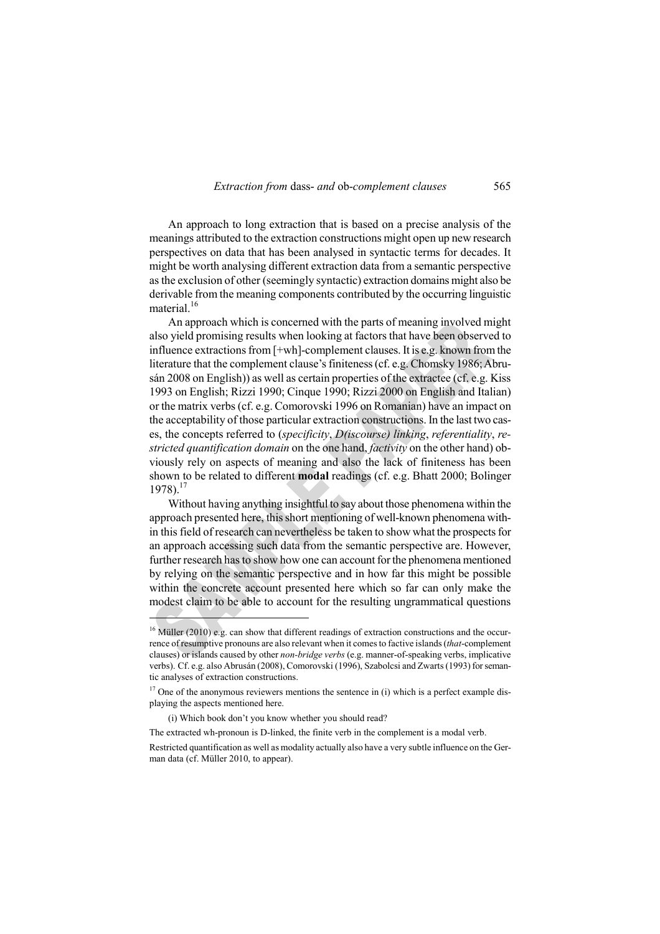An approach to long extraction that is based on a precise analysis of the meanings attributed to the extraction constructions might open up new research perspectives on data that has been analysed in syntactic terms for decades. It might be worth analysing different extraction data from a semantic perspective as the exclusion of other (seemingly syntactic) extraction domains might also be derivable from the meaning components contributed by the occurring linguistic material.<sup>16</sup>

An approach which is concerned with the parts of meaning involved might also yield promising results when looking at factors that have been observed to influence extractions from [+wh]-complement clauses. It is e.g. known from the literature that the complement clause's finiteness (cf. e.g. Chomsky 1986; Abrusán 2008 on English)) as well as certain properties of the extractee (cf. e.g. Kiss 1993 on English; Rizzi 1990; Cinque 1990; Rizzi 2000 on English and Italian) or the matrix verbs (cf. e.g. Comorovski 1996 on Romanian) have an impact on the acceptability of those particular extraction constructions. In the last two cases, the concepts referred to (*specificity*, *D(iscourse) linking*, *referentiality*, *restricted quantification domain* on the one hand, *factivity* on the other hand) obviously rely on aspects of meaning and also the lack of finiteness has been shown to be related to different **modal** readings (cf. e.g. Bhatt 2000; Bolinger  $1978$ ).<sup>17</sup>

Without having anything insightful to say about those phenomena within the approach presented here, this short mentioning of well-known phenomena within this field of research can nevertheless be taken to show what the prospects for an approach accessing such data from the semantic perspective are. However, further research has to show how one can account for the phenomena mentioned by relying on the semantic perspective and in how far this might be possible within the concrete account presented here which so far can only make the modest claim to be able to account for the resulting ungrammatical questions

<sup>&</sup>lt;sup>16</sup> Müller (2010) e.g. can show that different readings of extraction constructions and the occurrence of resumptive pronouns are also relevant when it comes to factive islands (*that*-complement clauses) or islands caused by other *non-bridge verbs* (e.g. manner-of-speaking verbs, implicative verbs). Cf. e.g. also Abrusán (2008), Comorovski (1996), Szabolcsi and Zwarts (1993) for semantic analyses of extraction constructions.

 $17$  One of the anonymous reviewers mentions the sentence in (i) which is a perfect example displaying the aspects mentioned here.

 <sup>(</sup>i) Which book don't you know whether you should read?

The extracted wh-pronoun is D-linked, the finite verb in the complement is a modal verb.

Restricted quantification as well as modality actually also have a very subtle influence on the German data (cf. Müller 2010, to appear).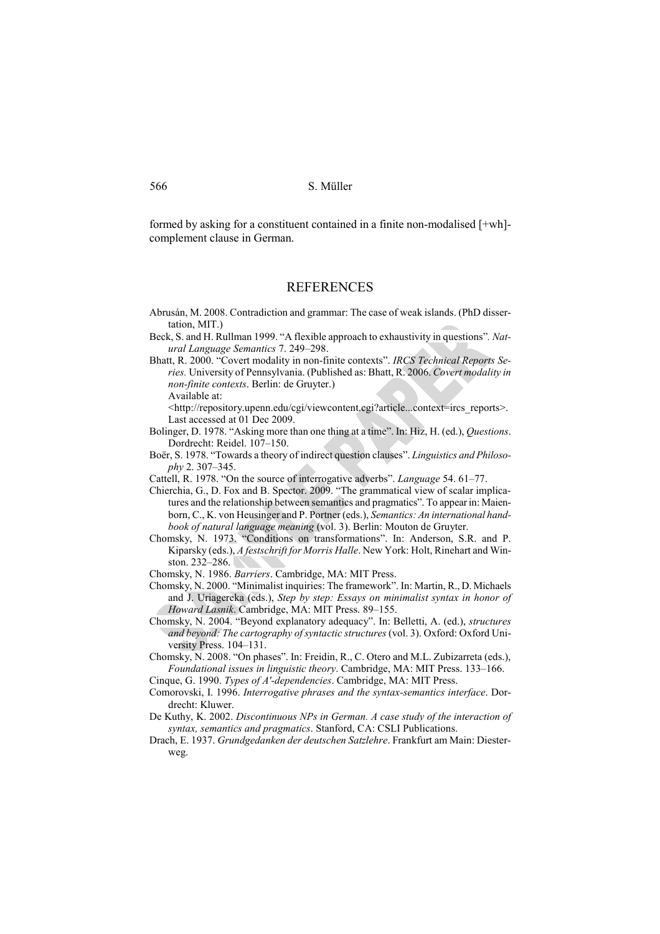formed by asking for a constituent contained in a finite non-modalised [+wh] complement clause in German.

### REFERENCES

- Abrusán, M. 2008. Contradiction and grammar: The case of weak islands. (PhD dissertation, MIT.)
- Beck, S. and H. Rullman 1999. "A flexible approach to exhaustivity in questions"*. Natural Language Semantics* 7. 249–298.
- Bhatt, R. 2000. "Covert modality in non-finite contexts". *IRCS Technical Reports Series.* University of Pennsylvania. (Published as: Bhatt, R. 2006. *Covert modality in non-finite contexts*. Berlin: de Gruyter.) Available at:

 <http://repository.upenn.edu/cgi/viewcontent.cgi?article...context=ircs\_reports>. Last accessed at 01 Dec 2009.

- Bolinger, D. 1978. "Asking more than one thing at a time". In: Hiz, H. (ed.), *Questions*. Dordrecht: Reidel. 107–150.
- Boër, S. 1978. "Towards a theory of indirect question clauses". *Linguistics and Philosophy* 2. 307–345.

Cattell, R. 1978. "On the source of interrogative adverbs". *Language* 54. 61–77.

- Chierchia, G., D. Fox and B. Spector. 2009. "The grammatical view of scalar implicatures and the relationship between semantics and pragmatics". To appear in: Maienborn, C., K. von Heusinger and P. Portner (eds.), *Semantics: An international handbook of natural language meaning* (vol. 3). Berlin: Mouton de Gruyter.
- Chomsky, N. 1973. "Conditions on transformations". In: Anderson, S.R. and P. Kiparsky (eds.), *A festschrift for Morris Halle*. New York: Holt, Rinehart and Winston. 232–286.
- Chomsky, N. 1986. *Barriers*. Cambridge, MA: MIT Press.
- Chomsky, N. 2000. "Minimalist inquiries: The framework". In: Martin, R., D. Michaels and J. Uriagereka (eds.), *Step by step: Essays on minimalist syntax in honor of Howard Lasnik*. Cambridge, MA: MIT Press. 89–155.
- Chomsky, N. 2004. "Beyond explanatory adequacy". In: Belletti, A. (ed.), *structures and beyond: The cartography of syntactic structures* (vol. 3). Oxford: Oxford University Press. 104–131.
- Chomsky, N. 2008. "On phases". In: Freidin, R., C. Otero and M.L. Zubizarreta (eds.), *Foundational issues in linguistic theory*. Cambridge, MA: MIT Press. 133–166.
- Cinque, G. 1990. *Types of A′-dependencies*. Cambridge, MA: MIT Press.
- Comorovski, I. 1996. *Interrogative phrases and the syntax-semantics interface*. Dordrecht: Kluwer.
- De Kuthy, K. 2002. *Discontinuous NPs in German. A case study of the interaction of syntax, semantics and pragmatics*. Stanford, CA: CSLI Publications.
- Drach, E. 1937. *Grundgedanken der deutschen Satzlehre*. Frankfurt am Main: Diesterweg.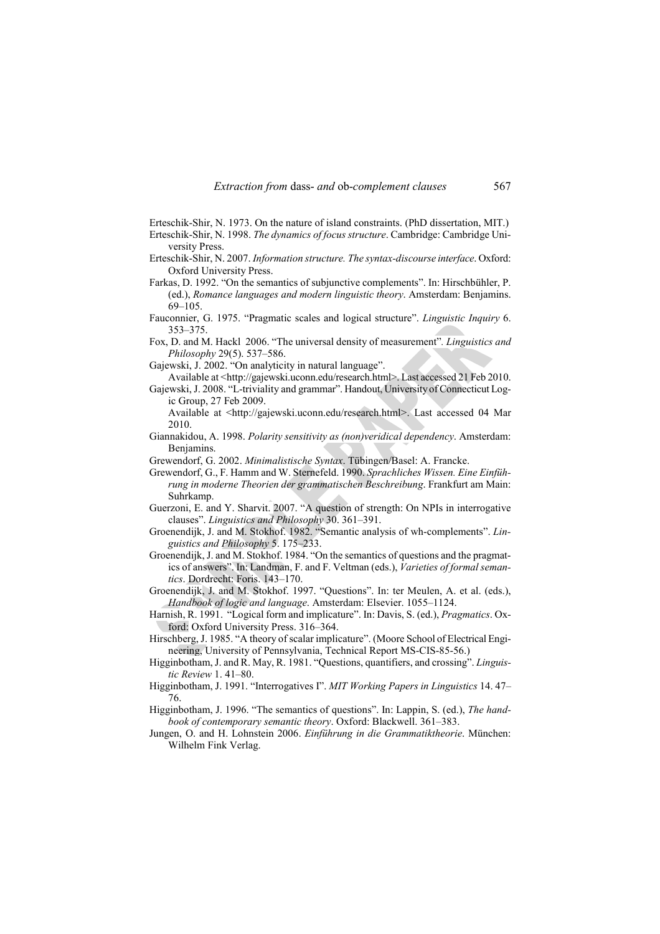Erteschik-Shir, N. 1973. On the nature of island constraints. (PhD dissertation, MIT.) Erteschik-Shir, N. 1998. *The dynamics of focus structure*. Cambridge: Cambridge University Press.

- Erteschik-Shir, N. 2007. *Information structure. The syntax-discourse interface*. Oxford: Oxford University Press.
- Farkas, D. 1992. "On the semantics of subjunctive complements". In: Hirschbühler, P. (ed.), *Romance languages and modern linguistic theory*. Amsterdam: Benjamins. 69–105.
- Fauconnier, G. 1975. "Pragmatic scales and logical structure". *Linguistic Inquiry* 6. 353–375.
- Fox, D. and M. Hackl 2006. "The universal density of measurement"*. Linguistics and Philosophy* 29(5). 537–586.

Gajewski, J. 2002. "On analyticity in natural language".

 Available at <http://gajewski.uconn.edu/research.html>. Last accessed 21 Feb 2010. Gajewski, J. 2008. "L-triviality and grammar". Handout, University of Connecticut Logic Group, 27 Feb 2009.

 Available at <http://gajewski.uconn.edu/research.html>. Last accessed 04 Mar 2010.

Giannakidou, A. 1998. *Polarity sensitivity as (non)veridical dependency*. Amsterdam: Benjamins.

Grewendorf, G. 2002. *Minimalistische Syntax*. Tübingen/Basel: A. Francke.

- Grewendorf, G., F. Hamm and W. Sternefeld. 1990. *Sprachliches Wissen. Eine Einführung in moderne Theorien der grammatischen Beschreibung*. Frankfurt am Main: Suhrkamp.
- Guerzoni, E. and Y. Sharvit. 2007. "A question of strength: On NPIs in interrogative clauses". *Linguistics and Philosophy* 30. 361–391.
- Groenendijk, J. and M. Stokhof. 1982. "Semantic analysis of wh-complements". *Linguistics and Philosophy* 5. 175–233.
- Groenendijk, J. and M. Stokhof. 1984. "On the semantics of questions and the pragmatics of answers". In: Landman, F. and F. Veltman (eds.), *Varieties of formal semantics*. Dordrecht: Foris. 143–170.
- Groenendijk, J. and M. Stokhof. 1997. "Questions". In: ter Meulen, A. et al. (eds.), *Handbook of logic and language*. Amsterdam: Elsevier. 1055–1124.
- Harnish, R. 1991. "Logical form and implicature". In: Davis, S. (ed.), *Pragmatics*. Oxford: Oxford University Press. 316–364.
- Hirschberg, J. 1985. "A theory of scalar implicature". (Moore School of Electrical Engineering, University of Pennsylvania, Technical Report MS-CIS-85-56.)
- Higginbotham, J. and R. May, R. 1981. "Questions, quantifiers, and crossing". *Linguistic Review* 1. 41–80.
- Higginbotham, J. 1991. "Interrogatives I". *MIT Working Papers in Linguistics* 14. 47– 76.
- Higginbotham, J. 1996. "The semantics of questions". In: Lappin, S. (ed.), *The handbook of contemporary semantic theory*. Oxford: Blackwell. 361–383.
- Jungen, O. and H. Lohnstein 2006. *Einführung in die Grammatiktheorie*. München: Wilhelm Fink Verlag.